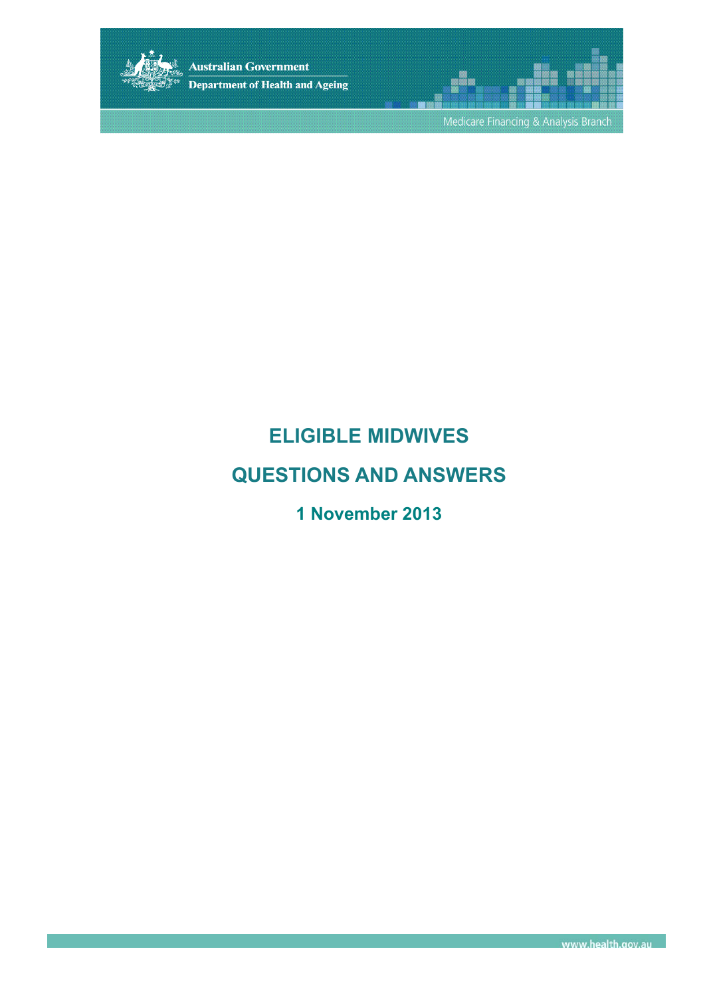

**Australian Government** Department of Health and Ageing

Medicare Financing & Analysis Branch

## **ELIGIBLE MIDWIVES**

## **QUESTIONS AND ANSWERS**

## **1 November 2013**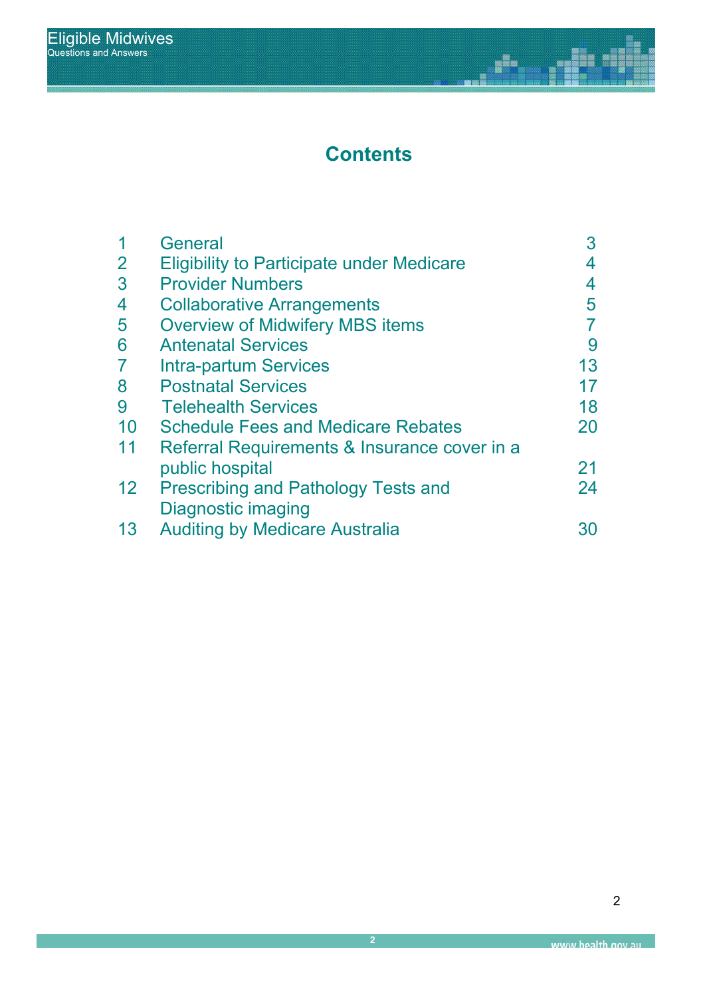# **Contents**

j.

na<br>Nex II

|                 | General                                          | 3  |
|-----------------|--------------------------------------------------|----|
| $\overline{2}$  | <b>Eligibility to Participate under Medicare</b> | 4  |
| 3               | <b>Provider Numbers</b>                          | 4  |
| 4               | <b>Collaborative Arrangements</b>                | 5  |
| 5               | <b>Overview of Midwifery MBS items</b>           |    |
| 6               | <b>Antenatal Services</b>                        | 9  |
| $\overline{7}$  | <b>Intra-partum Services</b>                     | 13 |
| 8               | <b>Postnatal Services</b>                        | 17 |
| 9               | <b>Telehealth Services</b>                       | 18 |
| 10              | <b>Schedule Fees and Medicare Rebates</b>        | 20 |
| 11              | Referral Requirements & Insurance cover in a     |    |
|                 | public hospital                                  | 21 |
| 12 <sup>2</sup> | <b>Prescribing and Pathology Tests and</b>       | 24 |
|                 | <b>Diagnostic imaging</b>                        |    |
| 13              | <b>Auditing by Medicare Australia</b>            |    |
|                 |                                                  |    |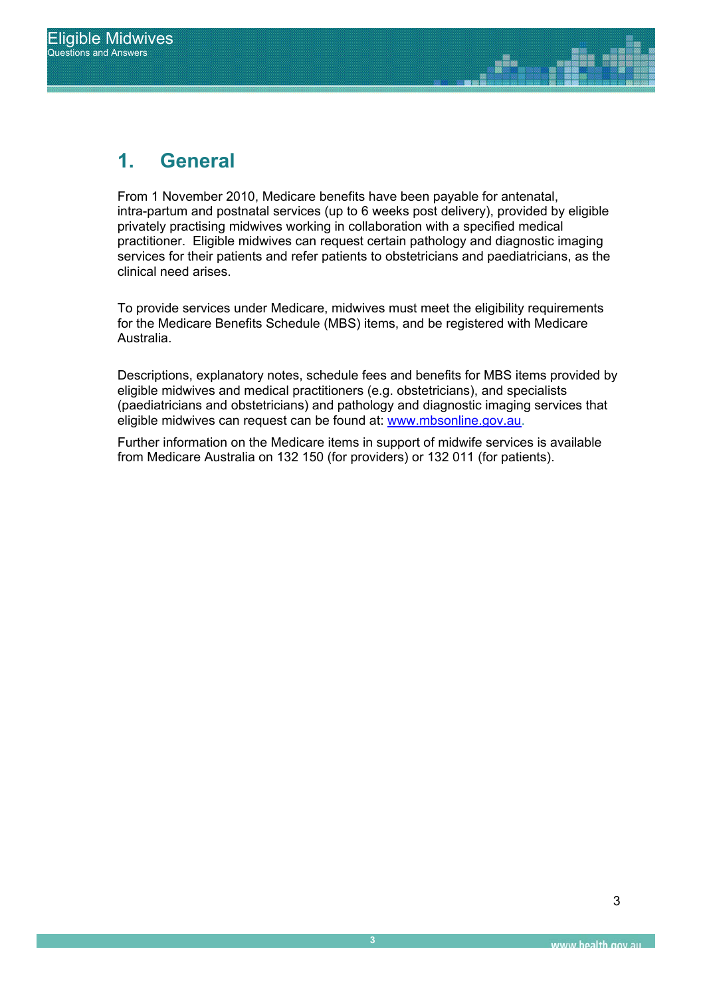# **1. General**

From 1 November 2010, Medicare benefits have been payable for antenatal, intra-partum and postnatal services (up to 6 weeks post delivery), provided by eligible privately practising midwives working in collaboration with a specified medical practitioner. Eligible midwives can request certain pathology and diagnostic imaging services for their patients and refer patients to obstetricians and paediatricians, as the clinical need arises.

> To provide services under Medicare, midwives must meet the eligibility requirements for the Medicare Benefits Schedule (MBS) items, and be registered with Medicare Australia.

Descriptions, explanatory notes, schedule fees and benefits for MBS items provided by eligible midwives and medical practitioners (e.g. obstetricians), and specialists (paediatricians and obstetricians) and pathology and diagnostic imaging services that eligible midwives can request can be found at: www.mbsonline.gov.au.

Further information on the Medicare items in support of midwife services is available from Medicare Australia on 132 150 (for providers) or 132 011 (for patients).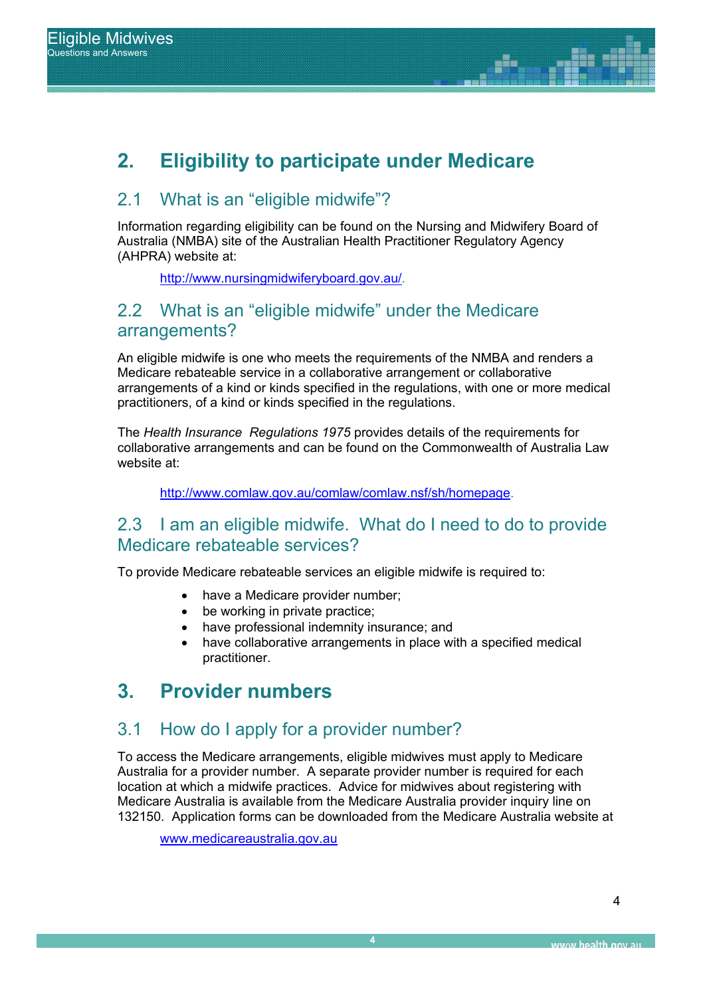## **2. Eligibility to participate under Medicare**

### 2.1 What is an "eligible midwife"?

Information regarding eligibility can be found on the Nursing and Midwifery Board of Australia (NMBA) site of the Australian Health Practitioner Regulatory Agency (AHPRA) website at:

http://www.nursingmidwiferyboard.gov.au/.

### 2.2 What is an "eligible midwife" under the Medicare arrangements?

An eligible midwife is one who meets the requirements of the NMBA and renders a Medicare rebateable service in a collaborative arrangement or collaborative arrangements of a kind or kinds specified in the regulations, with one or more medical practitioners, of a kind or kinds specified in the regulations.

The *Health Insurance Regulations 1975* provides details of the requirements for collaborative arrangements and can be found on the Commonwealth of Australia Law website at:

http://www.comlaw.gov.au/comlaw/comlaw.nsf/sh/homepage.

### 2.3 I am an eligible midwife. What do I need to do to provide Medicare rebateable services?

To provide Medicare rebateable services an eligible midwife is required to:

- have a Medicare provider number;
- $\bullet$  be working in private practice:
- have professional indemnity insurance; and
- have collaborative arrangements in place with a specified medical practitioner.

## **3. Provider numbers**

### 3.1 How do I apply for a provider number?

To access the Medicare arrangements, eligible midwives must apply to Medicare Australia for a provider number. A separate provider number is required for each location at which a midwife practices. Advice for midwives about registering with Medicare Australia is available from the Medicare Australia provider inquiry line on 132150. Application forms can be downloaded from the Medicare Australia website at

www.medicareaustralia.gov.au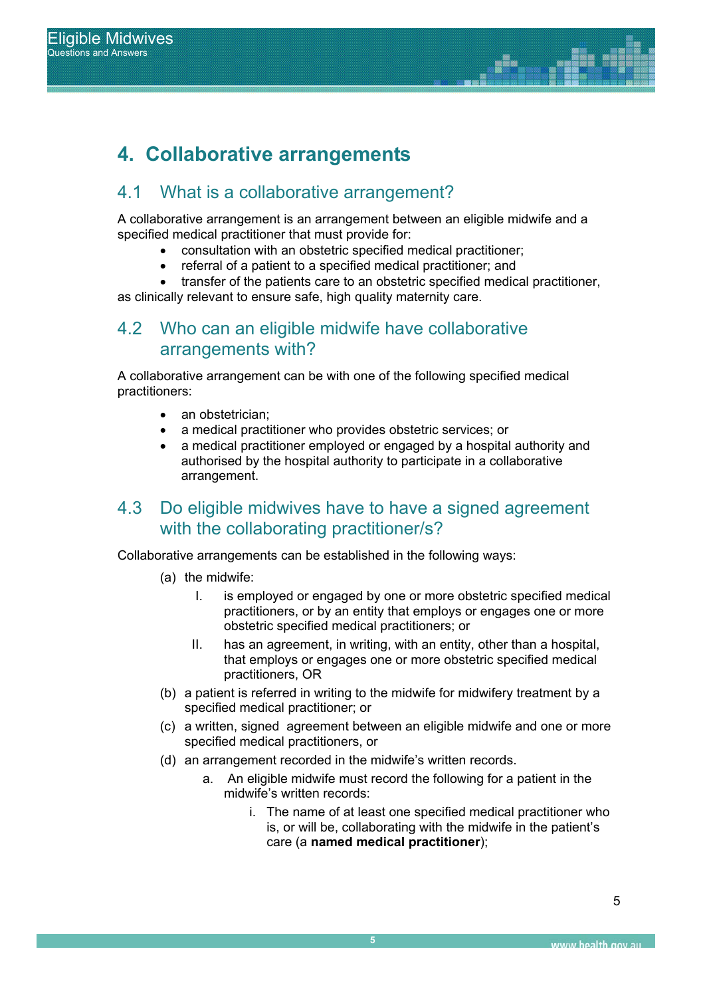## **4. Collaborative arrangements**

#### Report Title 4.1 What is a collaborative arrangement?

A collaborative arrangement is an arrangement between an eligible midwife and a specified medical practitioner that must provide for:

- consultation with an obstetric specified medical practitioner;
- referral of a patient to a specified medical practitioner; and
- transfer of the patients care to an obstetric specified medical practitioner,

as clinically relevant to ensure safe, high quality maternity care.

### 4.2 Who can an eligible midwife have collaborative arrangements with?

A collaborative arrangement can be with one of the following specified medical practitioners:

- an obstetrician:
- a medical practitioner who provides obstetric services; or
- a medical practitioner employed or engaged by a hospital authority and authorised by the hospital authority to participate in a collaborative arrangement.

### 4.3 Do eligible midwives have to have a signed agreement with the collaborating practitioner/s?

Collaborative arrangements can be established in the following ways:

- (a) the midwife:
	- I. is employed or engaged by one or more obstetric specified medical practitioners, or by an entity that employs or engages one or more obstetric specified medical practitioners; or
	- II. has an agreement, in writing, with an entity, other than a hospital, that employs or engages one or more obstetric specified medical practitioners, OR
- (b) a patient is referred in writing to the midwife for midwifery treatment by a specified medical practitioner; or
- (c) a written, signed agreement between an eligible midwife and one or more specified medical practitioners, or
- (d) an arrangement recorded in the midwife's written records.
	- a. An eligible midwife must record the following for a patient in the midwife's written records:
		- i. The name of at least one specified medical practitioner who is, or will be, collaborating with the midwife in the patient's care (a **named medical practitioner**);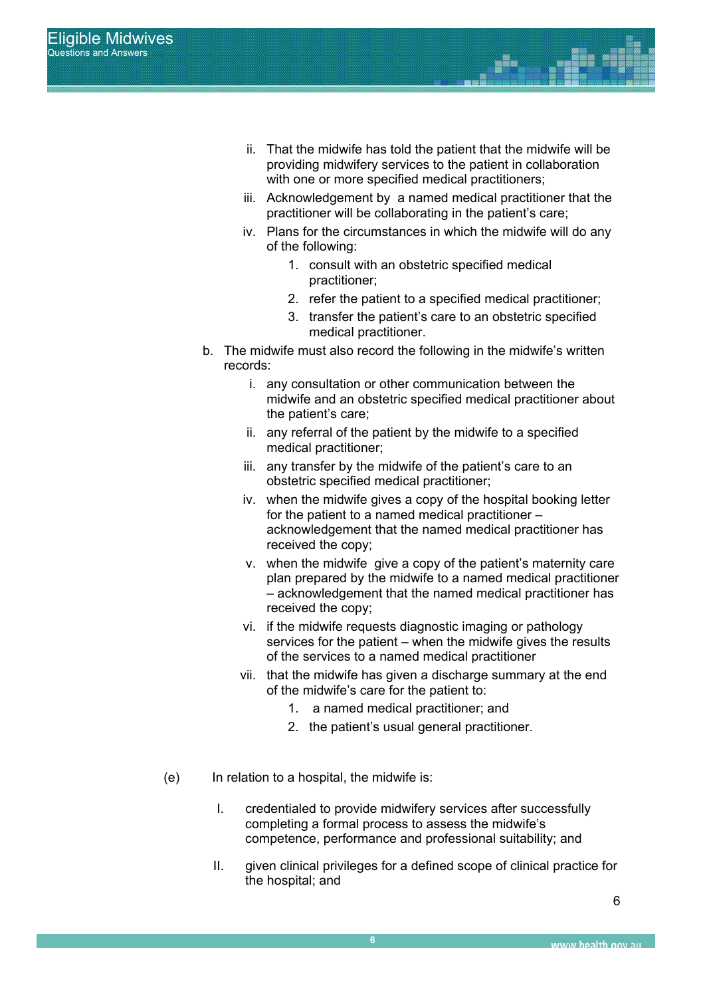- ii. That the midwife has told the patient that the midwife will be providing midwifery services to the patient in collaboration with one or more specified medical practitioners:
- iii. Acknowledgement by a named medical practitioner that the practitioner will be collaborating in the patient's care;
- iv. Plans for the circumstances in which the midwife will do any of the following:
	- 1. consult with an obstetric specified medical practitioner;
	- 2. refer the patient to a specified medical practitioner;
	- 3. transfer the patient's care to an obstetric specified medical practitioner.
- b. The midwife must also record the following in the midwife's written records:
	- i. any consultation or other communication between the midwife and an obstetric specified medical practitioner about the patient's care;
	- ii. any referral of the patient by the midwife to a specified medical practitioner;
	- iii. any transfer by the midwife of the patient's care to an obstetric specified medical practitioner;
	- iv. when the midwife gives a copy of the hospital booking letter for the patient to a named medical practitioner – acknowledgement that the named medical practitioner has received the copy;
	- v. when the midwife give a copy of the patient's maternity care plan prepared by the midwife to a named medical practitioner – acknowledgement that the named medical practitioner has received the copy;
	- vi. if the midwife requests diagnostic imaging or pathology services for the patient – when the midwife gives the results of the services to a named medical practitioner
	- vii. that the midwife has given a discharge summary at the end of the midwife's care for the patient to:
		- 1. a named medical practitioner; and
		- 2. the patient's usual general practitioner.
- (e) In relation to a hospital, the midwife is:
	- I. credentialed to provide midwifery services after successfully completing a formal process to assess the midwife's competence, performance and professional suitability; and
	- II. given clinical privileges for a defined scope of clinical practice for the hospital; and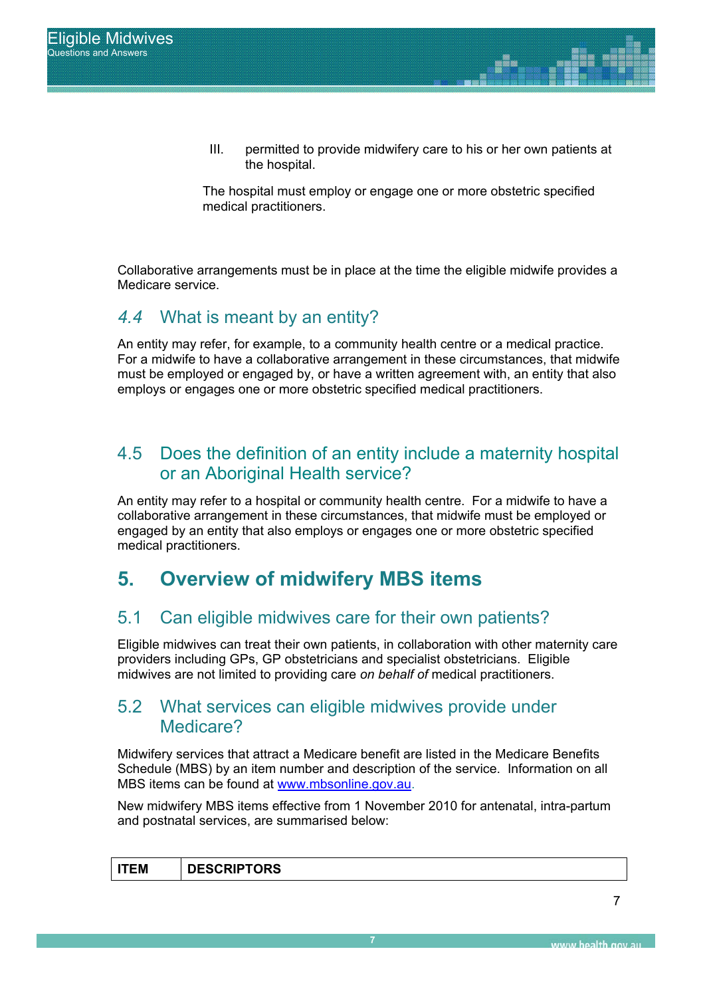III. permitted to provide midwifery care to his or her own patients at the hospital.

The hospital must employ or engage one or more obstetric specified medical practitioners.

Collaborative arrangements must be in place at the time the eligible midwife provides a Medicare service.

### *4.4* What is meant by an entity?

An entity may refer, for example, to a community health centre or a medical practice. For a midwife to have a collaborative arrangement in these circumstances, that midwife must be employed or engaged by, or have a written agreement with, an entity that also employs or engages one or more obstetric specified medical practitioners.

### 4.5 Does the definition of an entity include a maternity hospital or an Aboriginal Health service?

An entity may refer to a hospital or community health centre. For a midwife to have a collaborative arrangement in these circumstances, that midwife must be employed or engaged by an entity that also employs or engages one or more obstetric specified medical practitioners.

## **5. Overview of midwifery MBS items**

### 5.1 Can eligible midwives care for their own patients?

Eligible midwives can treat their own patients, in collaboration with other maternity care providers including GPs, GP obstetricians and specialist obstetricians. Eligible midwives are not limited to providing care *on behalf of* medical practitioners.

### 5.2 What services can eligible midwives provide under Medicare?

Midwifery services that attract a Medicare benefit are listed in the Medicare Benefits Schedule (MBS) by an item number and description of the service. Information on all MBS items can be found at www.mbsonline.gov.au.

New midwifery MBS items effective from 1 November 2010 for antenatal, intra-partum and postnatal services, are summarised below:

|--|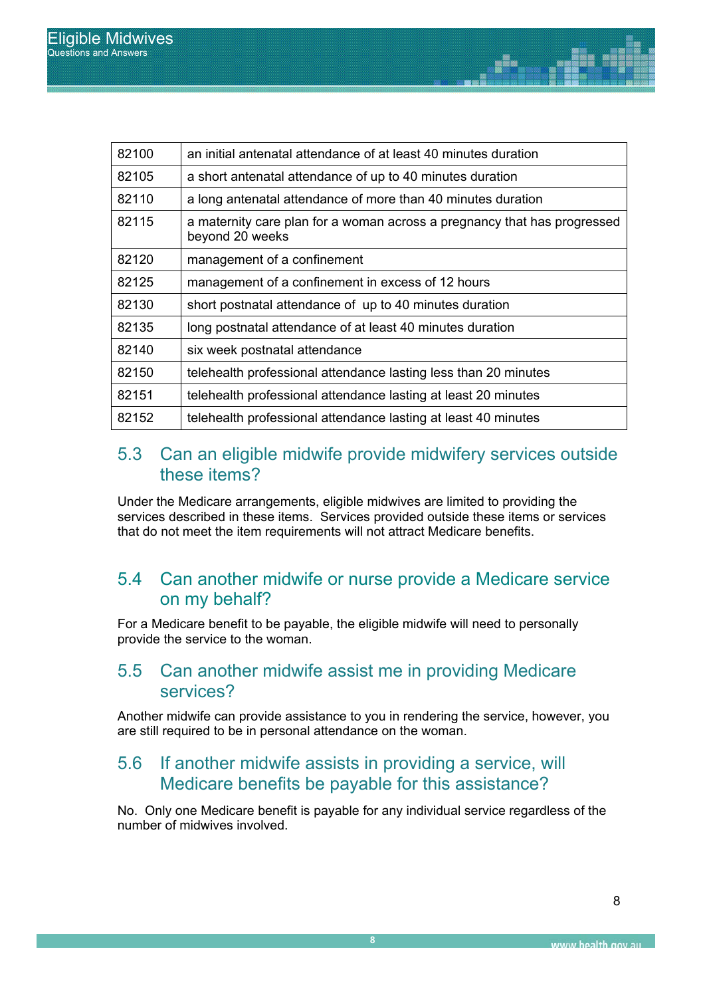| 82100 | an initial antenatal attendance of at least 40 minutes duration                             |
|-------|---------------------------------------------------------------------------------------------|
| 82105 | a short antenatal attendance of up to 40 minutes duration                                   |
| 82110 | a long antenatal attendance of more than 40 minutes duration                                |
| 82115 | a maternity care plan for a woman across a pregnancy that has progressed<br>beyond 20 weeks |
| 82120 | management of a confinement                                                                 |
| 82125 | management of a confinement in excess of 12 hours                                           |
| 82130 | short postnatal attendance of up to 40 minutes duration                                     |
| 82135 | long postnatal attendance of at least 40 minutes duration                                   |
| 82140 | six week postnatal attendance                                                               |
| 82150 | telehealth professional attendance lasting less than 20 minutes                             |
| 82151 | telehealth professional attendance lasting at least 20 minutes                              |
| 82152 | telehealth professional attendance lasting at least 40 minutes                              |

### 5.3 Can an eligible midwife provide midwifery services outside these items?

Under the Medicare arrangements, eligible midwives are limited to providing the services described in these items. Services provided outside these items or services that do not meet the item requirements will not attract Medicare benefits.

### 5.4 Can another midwife or nurse provide a Medicare service on my behalf?

For a Medicare benefit to be payable, the eligible midwife will need to personally provide the service to the woman.

### 5.5 Can another midwife assist me in providing Medicare services?

Another midwife can provide assistance to you in rendering the service, however, you are still required to be in personal attendance on the woman.

### 5.6 If another midwife assists in providing a service, will Medicare benefits be payable for this assistance?

No. Only one Medicare benefit is payable for any individual service regardless of the number of midwives involved.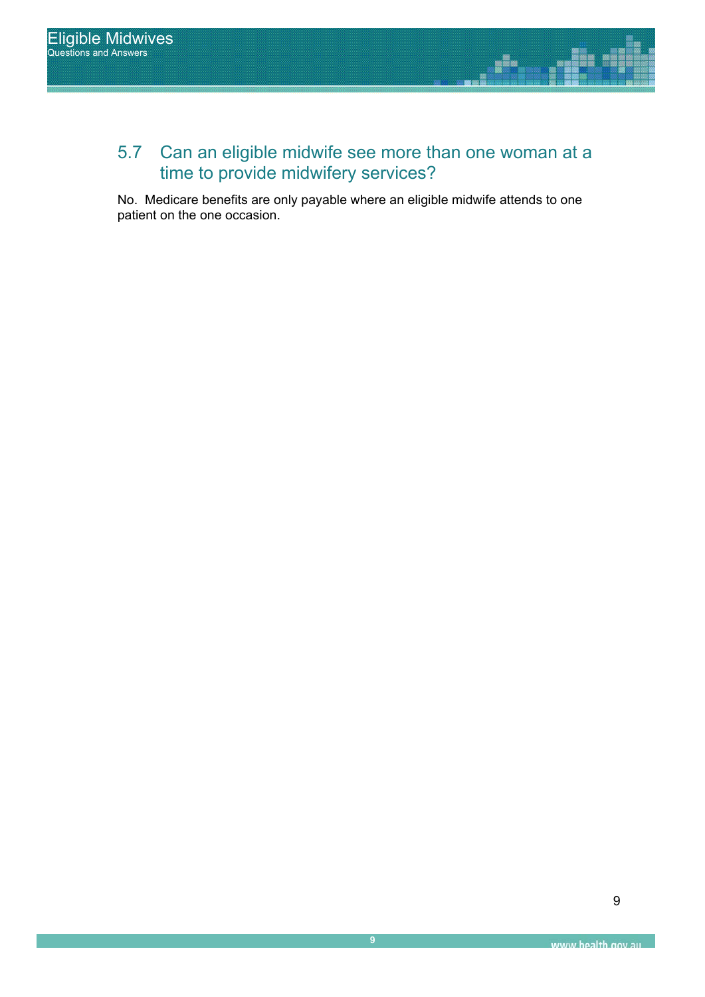## 5.7 Can an eligible midwife see more than one woman at a time to provide midwifery services?

No. Medicare benefits are only payable where an eligible midwife attends to one patient on the one occasion.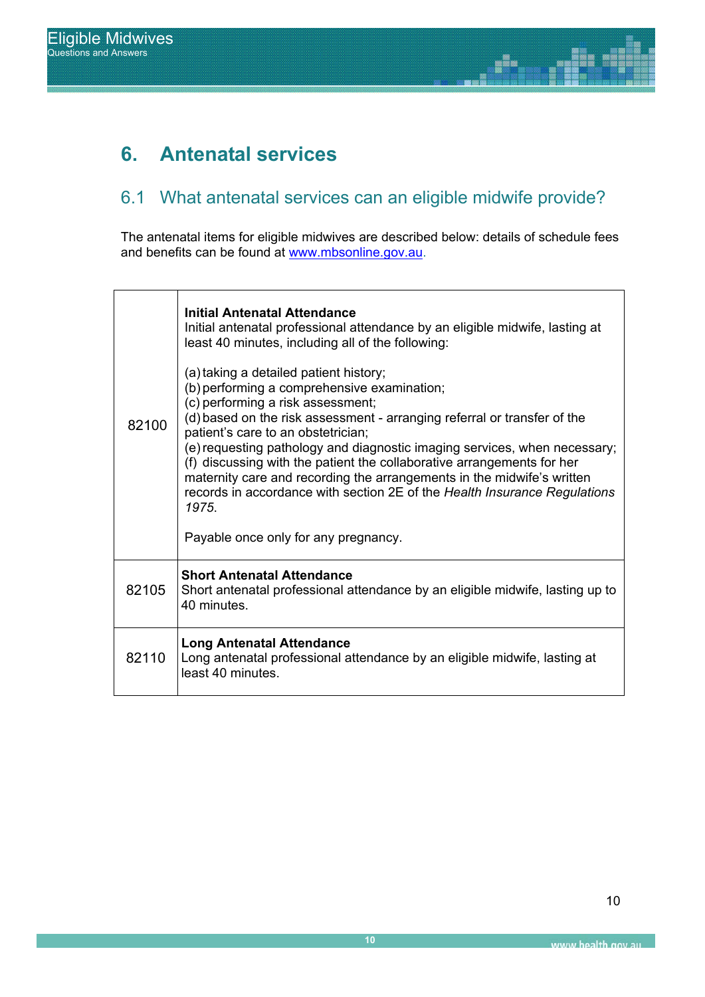# **6. Antenatal services**

### 6.1 What antenatal services can an eligible midwife provide?

alis<br>Bilis

The antenatal items for eligible midwives are described below: details of schedule fees and benefits can be found at www.mbsonline.gov.au.

| 82100 | <b>Initial Antenatal Attendance</b><br>Initial antenatal professional attendance by an eligible midwife, lasting at<br>least 40 minutes, including all of the following:<br>(a) taking a detailed patient history;<br>(b) performing a comprehensive examination;<br>(c) performing a risk assessment;<br>(d) based on the risk assessment - arranging referral or transfer of the<br>patient's care to an obstetrician;<br>(e) requesting pathology and diagnostic imaging services, when necessary;<br>(f) discussing with the patient the collaborative arrangements for her<br>maternity care and recording the arrangements in the midwife's written<br>records in accordance with section 2E of the Health Insurance Regulations<br>1975.<br>Payable once only for any pregnancy. |
|-------|-----------------------------------------------------------------------------------------------------------------------------------------------------------------------------------------------------------------------------------------------------------------------------------------------------------------------------------------------------------------------------------------------------------------------------------------------------------------------------------------------------------------------------------------------------------------------------------------------------------------------------------------------------------------------------------------------------------------------------------------------------------------------------------------|
| 82105 | <b>Short Antenatal Attendance</b><br>Short antenatal professional attendance by an eligible midwife, lasting up to<br>40 minutes.                                                                                                                                                                                                                                                                                                                                                                                                                                                                                                                                                                                                                                                       |
| 82110 | <b>Long Antenatal Attendance</b><br>Long antenatal professional attendance by an eligible midwife, lasting at<br>least 40 minutes.                                                                                                                                                                                                                                                                                                                                                                                                                                                                                                                                                                                                                                                      |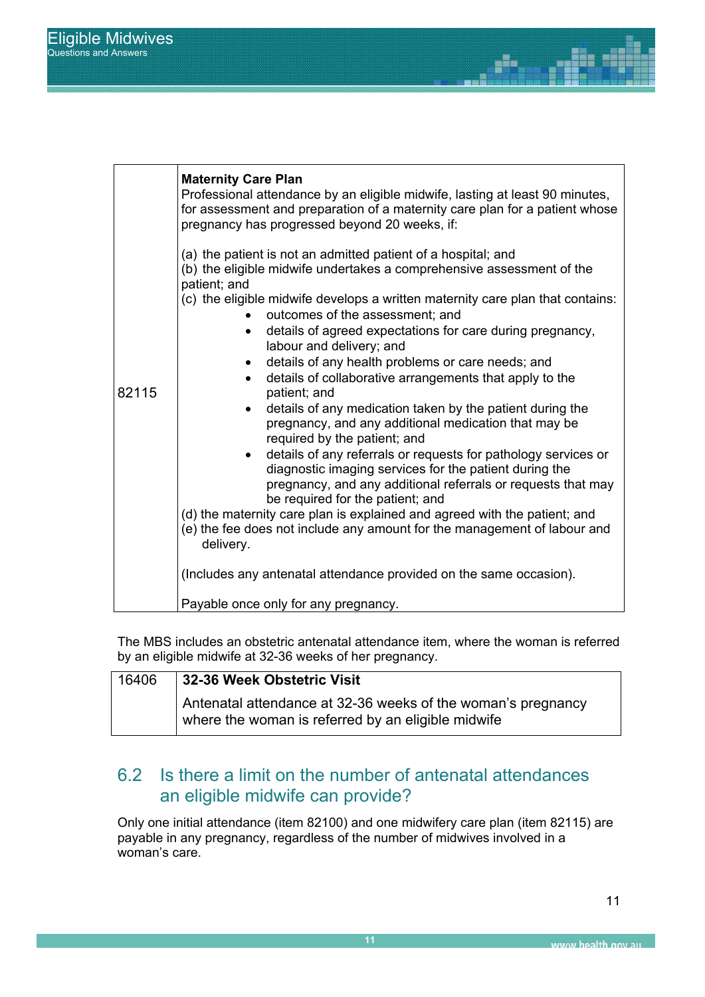|       | <b>Maternity Care Plan</b><br>Professional attendance by an eligible midwife, lasting at least 90 minutes,<br>for assessment and preparation of a maternity care plan for a patient whose<br>pregnancy has progressed beyond 20 weeks, if: |
|-------|--------------------------------------------------------------------------------------------------------------------------------------------------------------------------------------------------------------------------------------------|
|       | (a) the patient is not an admitted patient of a hospital; and<br>(b) the eligible midwife undertakes a comprehensive assessment of the<br>patient; and                                                                                     |
|       | (c) the eligible midwife develops a written maternity care plan that contains:<br>outcomes of the assessment; and                                                                                                                          |
|       | details of agreed expectations for care during pregnancy,<br>labour and delivery; and                                                                                                                                                      |
|       | details of any health problems or care needs; and                                                                                                                                                                                          |
|       | details of collaborative arrangements that apply to the                                                                                                                                                                                    |
| 82115 | patient; and                                                                                                                                                                                                                               |
|       | details of any medication taken by the patient during the<br>pregnancy, and any additional medication that may be<br>required by the patient; and                                                                                          |
|       | details of any referrals or requests for pathology services or<br>diagnostic imaging services for the patient during the<br>pregnancy, and any additional referrals or requests that may                                                   |
|       | be required for the patient; and                                                                                                                                                                                                           |
|       | (d) the maternity care plan is explained and agreed with the patient; and<br>(e) the fee does not include any amount for the management of labour and<br>delivery.                                                                         |
|       | (Includes any antenatal attendance provided on the same occasion).                                                                                                                                                                         |
|       | Payable once only for any pregnancy.                                                                                                                                                                                                       |

The MBS includes an obstetric antenatal attendance item, where the woman is referred by an eligible midwife at 32-36 weeks of her pregnancy.

| 16406 | 32-36 Week Obstetric Visit                                                                                         |
|-------|--------------------------------------------------------------------------------------------------------------------|
|       | Antenatal attendance at 32-36 weeks of the woman's pregnancy<br>where the woman is referred by an eligible midwife |

### 6.2 Is there a limit on the number of antenatal attendances an eligible midwife can provide?

Only one initial attendance (item 82100) and one midwifery care plan (item 82115) are payable in any pregnancy, regardless of the number of midwives involved in a woman's care.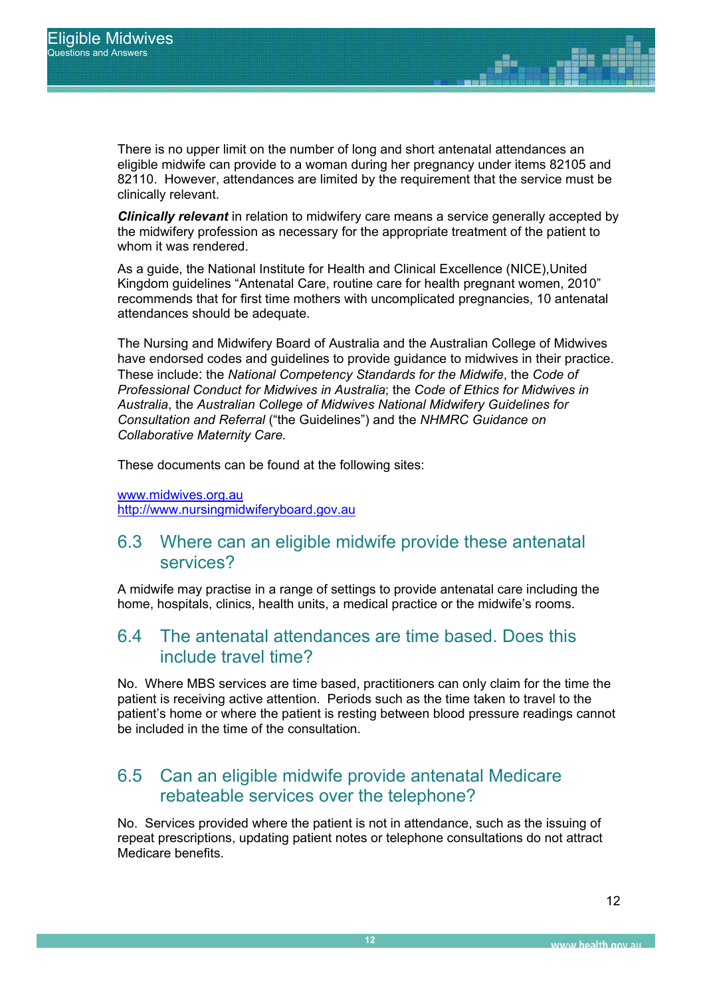clinically relevant. There is no upper limit on the number of long and short antenatal attendances an eligible midwife can provide to a woman during her pregnancy under items 82105 and 82110. However, attendances are limited by the requirement that the service must be

**Clinically relevant** in relation to midwifery care means a service generally accepted by the midwifery profession as necessary for the appropriate treatment of the patient to whom it was rendered.

> As a guide, the National Institute for Health and Clinical Excellence (NICE),United Kingdom guidelines "Antenatal Care, routine care for health pregnant women, 2010" recommends that for first time mothers with uncomplicated pregnancies, 10 antenatal attendances should be adequate.

The Nursing and Midwifery Board of Australia and the Australian College of Midwives have endorsed codes and guidelines to provide guidance to midwives in their practice. These include: the *National Competency Standards for the Midwife*, the *Code of Professional Conduct for Midwives in Australia*; the *Code of Ethics for Midwives in Australia*, the *Australian College of Midwives National Midwifery Guidelines for Consultation and Referral* ("the Guidelines") and the *NHMRC Guidance on Collaborative Maternity Care.*

These documents can be found at the following sites:

www.midwives.org.au http://www.nursingmidwiferyboard.gov.au

### 6.3 Where can an eligible midwife provide these antenatal services?

A midwife may practise in a range of settings to provide antenatal care including the home, hospitals, clinics, health units, a medical practice or the midwife's rooms.

### 6.4 The antenatal attendances are time based. Does this include travel time?

No. Where MBS services are time based, practitioners can only claim for the time the patient is receiving active attention. Periods such as the time taken to travel to the patient's home or where the patient is resting between blood pressure readings cannot be included in the time of the consultation.

### 6.5 Can an eligible midwife provide antenatal Medicare rebateable services over the telephone?

No. Services provided where the patient is not in attendance, such as the issuing of repeat prescriptions, updating patient notes or telephone consultations do not attract Medicare benefits.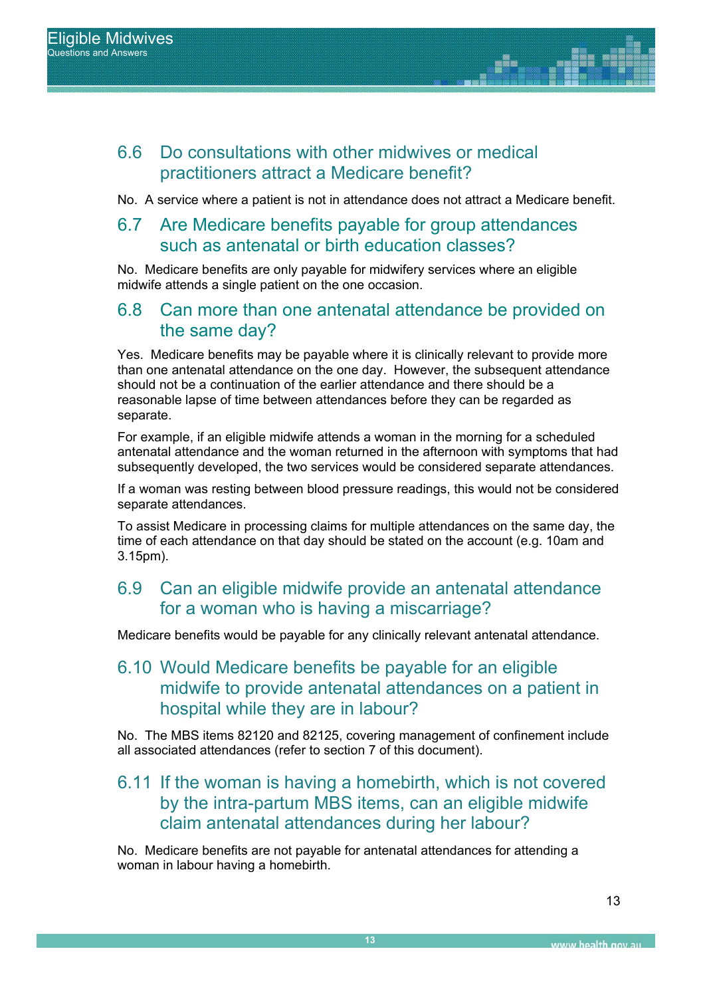### 6.6 Do consultations with other midwives or medical practitioners attract a Medicare benefit?

No. A service where a patient is not in attendance does not attract a Medicare benefit.

### REPORT SUB TITLE 6.7 Are Medicare benefits payable for group attendances such as antenatal or birth education classes?

No. Medicare benefits are only payable for midwifery services where an eligible midwife attends a single patient on the one occasion.

### 6.8 Can more than one antenatal attendance be provided on the same day?

Yes. Medicare benefits may be payable where it is clinically relevant to provide more than one antenatal attendance on the one day. However, the subsequent attendance should not be a continuation of the earlier attendance and there should be a reasonable lapse of time between attendances before they can be regarded as separate.

For example, if an eligible midwife attends a woman in the morning for a scheduled antenatal attendance and the woman returned in the afternoon with symptoms that had subsequently developed, the two services would be considered separate attendances.

If a woman was resting between blood pressure readings, this would not be considered separate attendances.

To assist Medicare in processing claims for multiple attendances on the same day, the time of each attendance on that day should be stated on the account (e.g. 10am and 3.15pm).

### 6.9 Can an eligible midwife provide an antenatal attendance for a woman who is having a miscarriage?

Medicare benefits would be payable for any clinically relevant antenatal attendance.

### 6.10 Would Medicare benefits be payable for an eligible midwife to provide antenatal attendances on a patient in hospital while they are in labour?

No. The MBS items 82120 and 82125, covering management of confinement include all associated attendances (refer to section 7 of this document).

### 6.11 If the woman is having a homebirth, which is not covered by the intra-partum MBS items, can an eligible midwife claim antenatal attendances during her labour?

No. Medicare benefits are not payable for antenatal attendances for attending a woman in labour having a homebirth.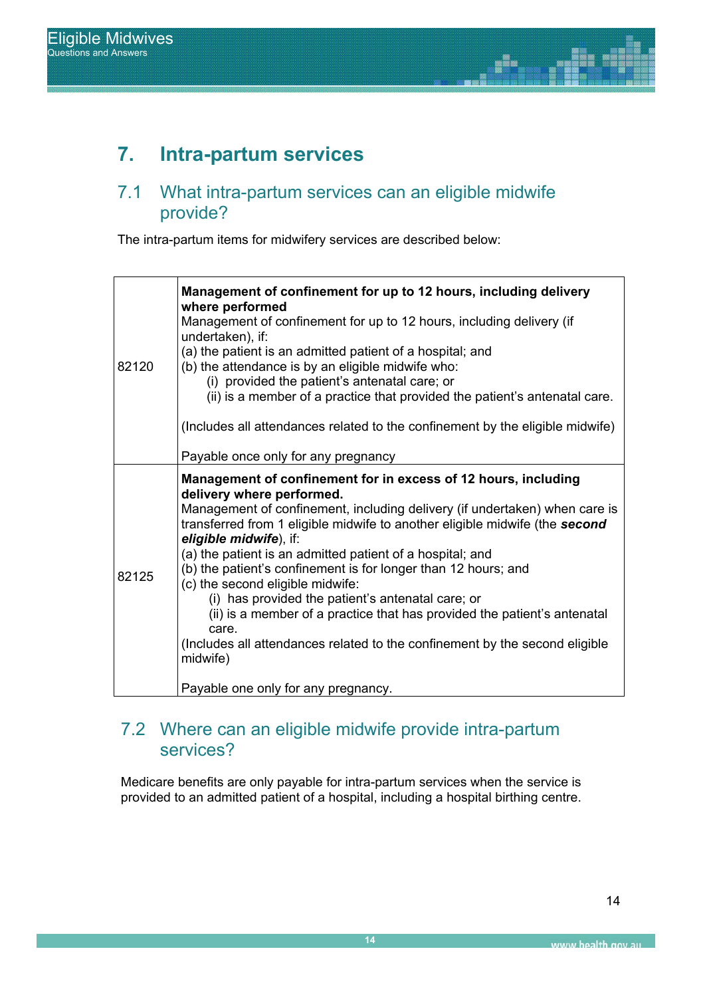## **7. Intra-partum services**

#### Report Title 7.1 What intra-partum services can an eligible midwife provide?

The intra-partum items for midwifery services are described below:

| 82120 | Management of confinement for up to 12 hours, including delivery<br>where performed<br>Management of confinement for up to 12 hours, including delivery (if<br>undertaken), if:<br>(a) the patient is an admitted patient of a hospital; and<br>(b) the attendance is by an eligible midwife who:<br>(i) provided the patient's antenatal care; or<br>(ii) is a member of a practice that provided the patient's antenatal care.<br>(Includes all attendances related to the confinement by the eligible midwife)                                                                                                                                                                                                                 |
|-------|-----------------------------------------------------------------------------------------------------------------------------------------------------------------------------------------------------------------------------------------------------------------------------------------------------------------------------------------------------------------------------------------------------------------------------------------------------------------------------------------------------------------------------------------------------------------------------------------------------------------------------------------------------------------------------------------------------------------------------------|
|       | Payable once only for any pregnancy                                                                                                                                                                                                                                                                                                                                                                                                                                                                                                                                                                                                                                                                                               |
| 82125 | Management of confinement for in excess of 12 hours, including<br>delivery where performed.<br>Management of confinement, including delivery (if undertaken) when care is<br>transferred from 1 eligible midwife to another eligible midwife (the second<br>eligible midwife), if:<br>(a) the patient is an admitted patient of a hospital; and<br>(b) the patient's confinement is for longer than 12 hours; and<br>(c) the second eligible midwife:<br>(i) has provided the patient's antenatal care; or<br>(ii) is a member of a practice that has provided the patient's antenatal<br>care.<br>(Includes all attendances related to the confinement by the second eligible<br>midwife)<br>Payable one only for any pregnancy. |

### 7.2 Where can an eligible midwife provide intra-partum services?

Medicare benefits are only payable for intra-partum services when the service is provided to an admitted patient of a hospital, including a hospital birthing centre.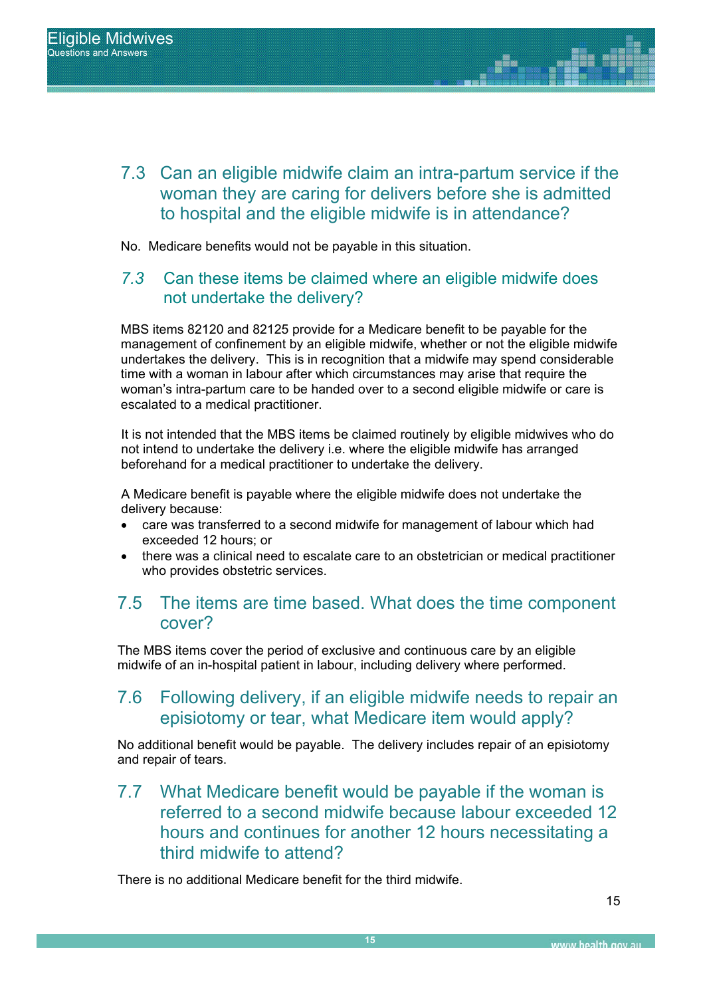7.3 Can an eligible midwife claim an intra-partum service if the woman they are caring for delivers before she is admitted to hospital and the eligible midwife is in attendance?

No. Medicare benefits would not be payable in this situation.

### *7.3* Can these items be claimed where an eligible midwife does not undertake the delivery?

MBS items 82120 and 82125 provide for a Medicare benefit to be payable for the management of confinement by an eligible midwife, whether or not the eligible midwife undertakes the delivery. This is in recognition that a midwife may spend considerable time with a woman in labour after which circumstances may arise that require the woman's intra-partum care to be handed over to a second eligible midwife or care is escalated to a medical practitioner.

It is not intended that the MBS items be claimed routinely by eligible midwives who do not intend to undertake the delivery i.e. where the eligible midwife has arranged beforehand for a medical practitioner to undertake the delivery.

A Medicare benefit is payable where the eligible midwife does not undertake the delivery because:

- care was transferred to a second midwife for management of labour which had exceeded 12 hours; or
- x there was a clinical need to escalate care to an obstetrician or medical practitioner who provides obstetric services.

### 7.5 The items are time based. What does the time component cover?

The MBS items cover the period of exclusive and continuous care by an eligible midwife of an in-hospital patient in labour, including delivery where performed.

### 7.6 Following delivery, if an eligible midwife needs to repair an episiotomy or tear, what Medicare item would apply?

No additional benefit would be payable. The delivery includes repair of an episiotomy and repair of tears.

7.7 What Medicare benefit would be payable if the woman is referred to a second midwife because labour exceeded 12 hours and continues for another 12 hours necessitating a third midwife to attend?

There is no additional Medicare benefit for the third midwife.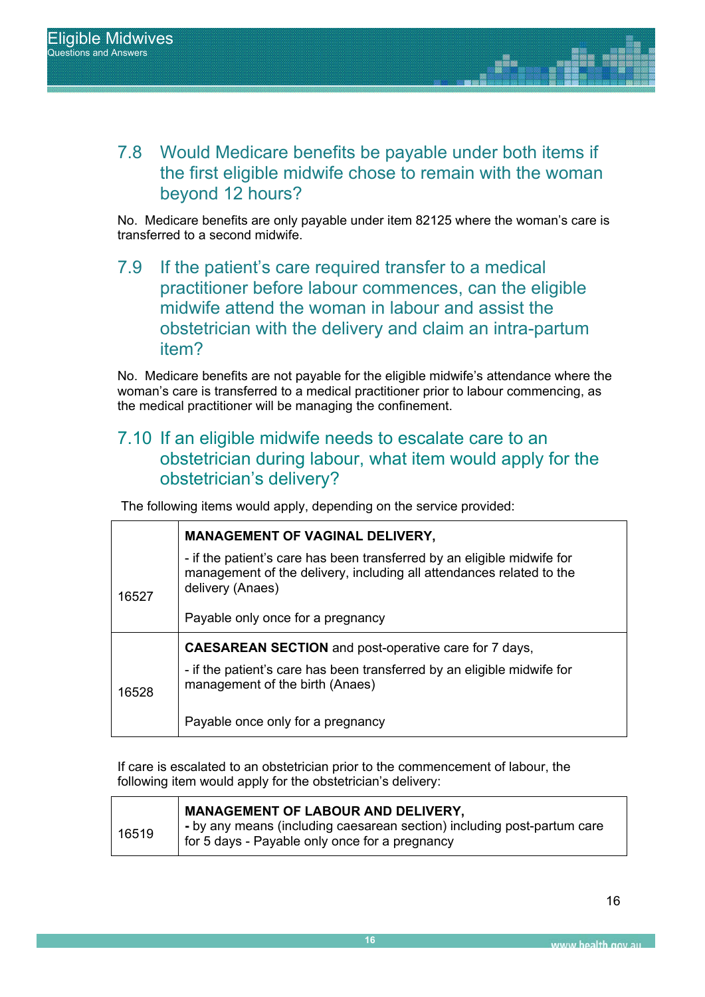7.8 Would Medicare benefits be payable under both items if the first eligible midwife chose to remain with the woman beyond 12 hours?

No. Medicare benefits are only payable under item 82125 where the woman's care is transferred to a second midwife.

> 7.9 If the patient's care required transfer to a medical practitioner before labour commences, can the eligible midwife attend the woman in labour and assist the obstetrician with the delivery and claim an intra-partum item?

No. Medicare benefits are not payable for the eligible midwife's attendance where the woman's care is transferred to a medical practitioner prior to labour commencing, as the medical practitioner will be managing the confinement.

### 7.10 If an eligible midwife needs to escalate care to an obstetrician during labour, what item would apply for the obstetrician's delivery?

The following items would apply, depending on the service provided:

|       | <b>MANAGEMENT OF VAGINAL DELIVERY,</b>                                                                                                                              |  |
|-------|---------------------------------------------------------------------------------------------------------------------------------------------------------------------|--|
| 16527 | - if the patient's care has been transferred by an eligible midwife for<br>management of the delivery, including all attendances related to the<br>delivery (Anaes) |  |
|       | Payable only once for a pregnancy                                                                                                                                   |  |
|       | <b>CAESAREAN SECTION</b> and post-operative care for 7 days,                                                                                                        |  |
| 16528 | - if the patient's care has been transferred by an eligible midwife for<br>management of the birth (Anaes)                                                          |  |
|       | Payable once only for a pregnancy                                                                                                                                   |  |

If care is escalated to an obstetrician prior to the commencement of labour, the following item would apply for the obstetrician's delivery:

|       | <b>MANAGEMENT OF LABOUR AND DELIVERY,</b>                                                                                               |
|-------|-----------------------------------------------------------------------------------------------------------------------------------------|
| 16519 | $\rightarrow$ - by any means (including caesarean section) including post-partum care<br>for 5 days - Payable only once for a pregnancy |
|       |                                                                                                                                         |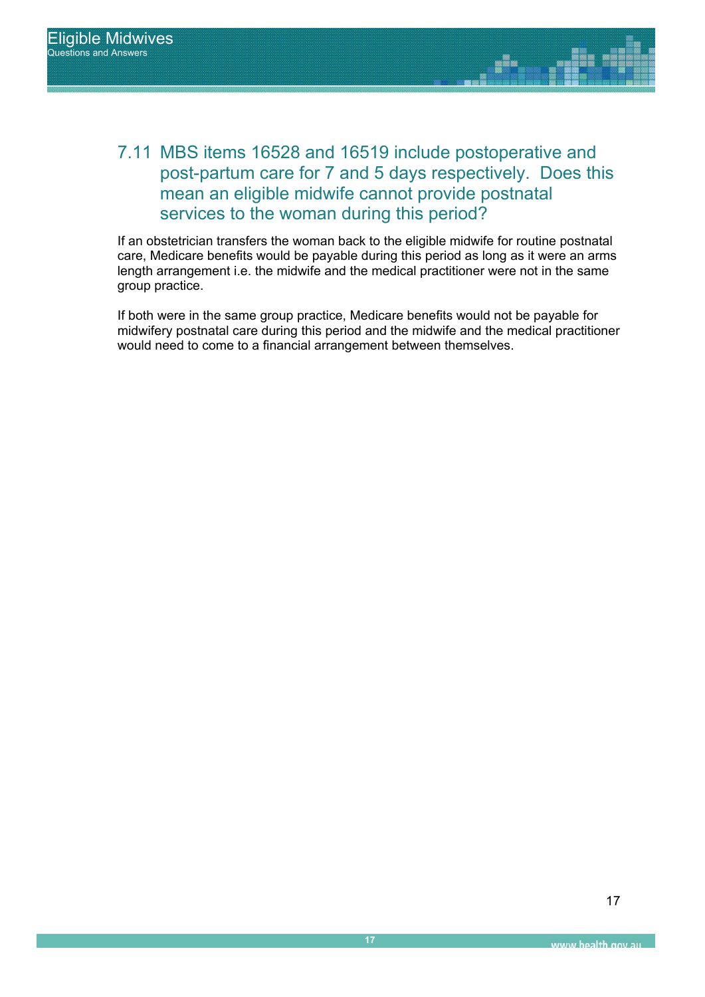

If an obstetrician transfers the woman back to the eligible midwife for routine postnatal care, Medicare benefits would be payable during this period as long as it were an arms length arrangement i.e. the midwife and the medical practitioner were not in the same group practice.

If both were in the same group practice, Medicare benefits would not be payable for midwifery postnatal care during this period and the midwife and the medical practitioner would need to come to a financial arrangement between themselves.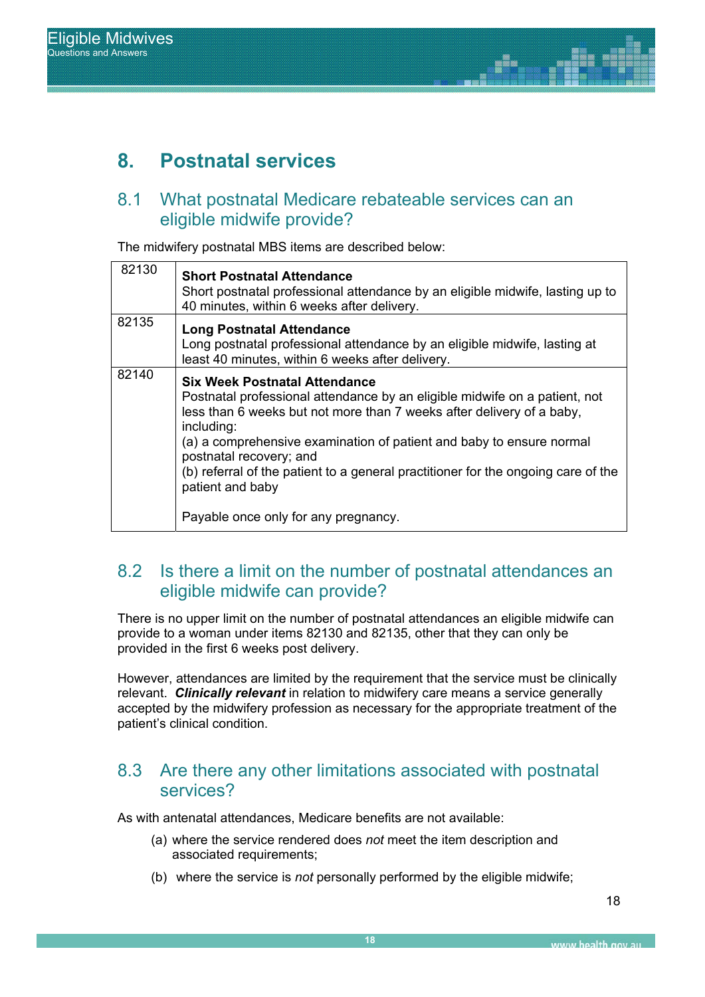## **8. Postnatal services**

#### $8.1$ What postnatal Medicare rebateable services can an eligible midwife provide?

The midwifery postnatal MBS items are described below:

| 82130 | <b>Short Postnatal Attendance</b><br>Short postnatal professional attendance by an eligible midwife, lasting up to<br>40 minutes, within 6 weeks after delivery.                                                                                                                                                                                                                                                                                              |
|-------|---------------------------------------------------------------------------------------------------------------------------------------------------------------------------------------------------------------------------------------------------------------------------------------------------------------------------------------------------------------------------------------------------------------------------------------------------------------|
| 82135 | <b>Long Postnatal Attendance</b><br>Long postnatal professional attendance by an eligible midwife, lasting at<br>least 40 minutes, within 6 weeks after delivery.                                                                                                                                                                                                                                                                                             |
| 82140 | <b>Six Week Postnatal Attendance</b><br>Postnatal professional attendance by an eligible midwife on a patient, not<br>less than 6 weeks but not more than 7 weeks after delivery of a baby,<br>including:<br>(a) a comprehensive examination of patient and baby to ensure normal<br>postnatal recovery; and<br>(b) referral of the patient to a general practitioner for the ongoing care of the<br>patient and baby<br>Payable once only for any pregnancy. |

### 8.2 Is there a limit on the number of postnatal attendances an eligible midwife can provide?

There is no upper limit on the number of postnatal attendances an eligible midwife can provide to a woman under items 82130 and 82135, other that they can only be provided in the first 6 weeks post delivery.

However, attendances are limited by the requirement that the service must be clinically relevant. *Clinically relevant* in relation to midwifery care means a service generally accepted by the midwifery profession as necessary for the appropriate treatment of the patient's clinical condition.

### 8.3 Are there any other limitations associated with postnatal services?

As with antenatal attendances, Medicare benefits are not available:

- (a) where the service rendered does *not* meet the item description and associated requirements;
- (b) where the service is *not* personally performed by the eligible midwife;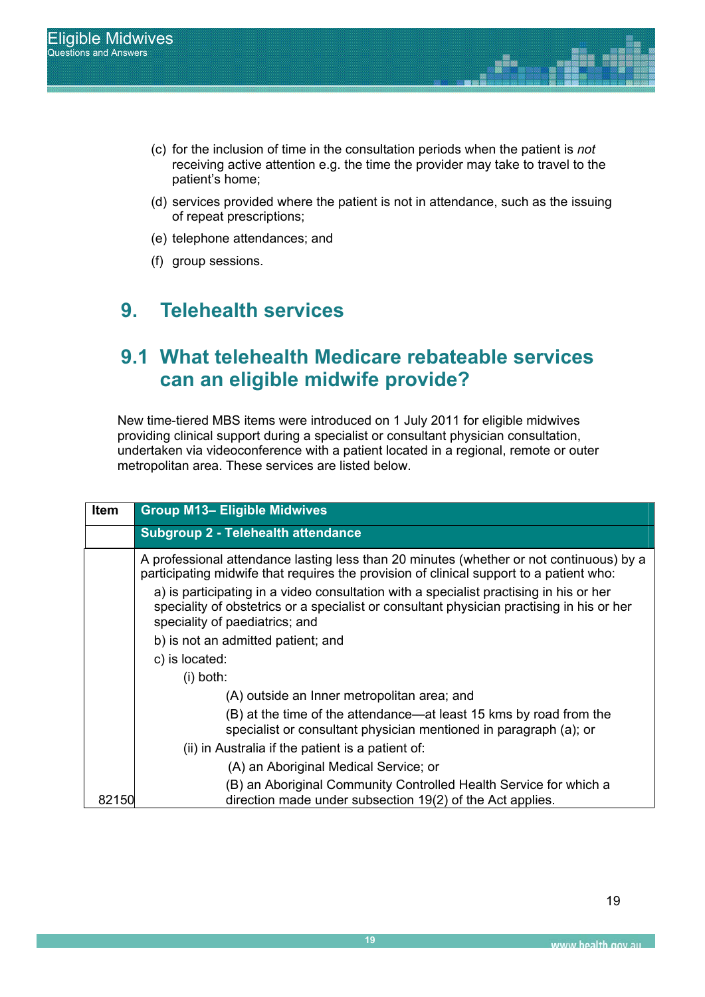- (c) for the inclusion of time in the consultation periods when the patient is *not* receiving active attention e.g. the time the provider may take to travel to the patient's home;
- (d) services provided where the patient is not in attendance, such as the issuing of repeat prescriptions;
- (e) telephone attendances; and
- (f) group sessions.

## **9. Telehealth services**

## **9.1 What telehealth Medicare rebateable services can an eligible midwife provide?**

New time-tiered MBS items were introduced on 1 July 2011 for eligible midwives providing clinical support during a specialist or consultant physician consultation, undertaken via videoconference with a patient located in a regional, remote or outer metropolitan area. These services are listed below.

| Item  | <b>Group M13- Eligible Midwives</b>                                                                                                                                                                                   |
|-------|-----------------------------------------------------------------------------------------------------------------------------------------------------------------------------------------------------------------------|
|       | <b>Subgroup 2 - Telehealth attendance</b>                                                                                                                                                                             |
|       | A professional attendance lasting less than 20 minutes (whether or not continuous) by a<br>participating midwife that requires the provision of clinical support to a patient who:                                    |
|       | a) is participating in a video consultation with a specialist practising in his or her<br>speciality of obstetrics or a specialist or consultant physician practising in his or her<br>speciality of paediatrics; and |
|       | b) is not an admitted patient; and                                                                                                                                                                                    |
|       | c) is located:                                                                                                                                                                                                        |
|       | $(i)$ both:                                                                                                                                                                                                           |
|       | (A) outside an Inner metropolitan area; and                                                                                                                                                                           |
|       | (B) at the time of the attendance—at least 15 kms by road from the<br>specialist or consultant physician mentioned in paragraph (a); or                                                                               |
|       | (ii) in Australia if the patient is a patient of:                                                                                                                                                                     |
|       | (A) an Aboriginal Medical Service; or                                                                                                                                                                                 |
| 82150 | (B) an Aboriginal Community Controlled Health Service for which a<br>direction made under subsection 19(2) of the Act applies.                                                                                        |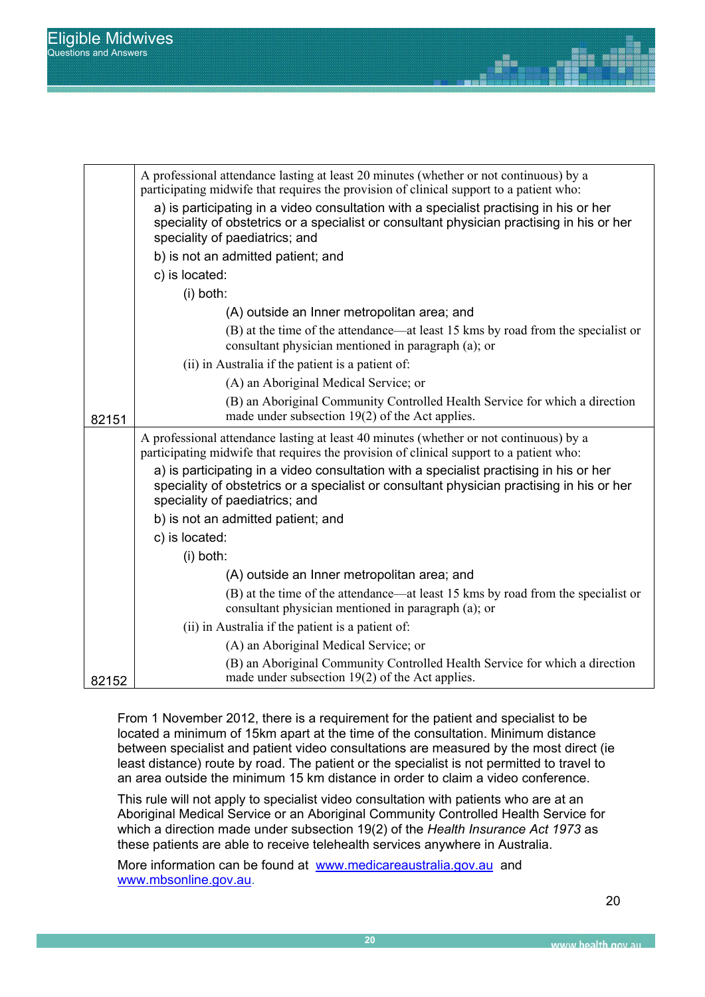|       | A professional attendance lasting at least 20 minutes (whether or not continuous) by a<br>participating midwife that requires the provision of clinical support to a patient who:                                                                                           |
|-------|-----------------------------------------------------------------------------------------------------------------------------------------------------------------------------------------------------------------------------------------------------------------------------|
|       | a) is participating in a video consultation with a specialist practising in his or her<br>speciality of obstetrics or a specialist or consultant physician practising in his or her<br>speciality of paediatrics; and                                                       |
|       | b) is not an admitted patient; and                                                                                                                                                                                                                                          |
|       | c) is located:                                                                                                                                                                                                                                                              |
|       | (i) both:                                                                                                                                                                                                                                                                   |
|       | (A) outside an Inner metropolitan area; and                                                                                                                                                                                                                                 |
|       | (B) at the time of the attendance—at least 15 kms by road from the specialist or<br>consultant physician mentioned in paragraph (a); or                                                                                                                                     |
|       | (ii) in Australia if the patient is a patient of:                                                                                                                                                                                                                           |
|       | (A) an Aboriginal Medical Service; or                                                                                                                                                                                                                                       |
| 82151 | (B) an Aboriginal Community Controlled Health Service for which a direction<br>made under subsection $19(2)$ of the Act applies.                                                                                                                                            |
|       | A professional attendance lasting at least 40 minutes (whether or not continuous) by a<br>participating midwife that requires the provision of clinical support to a patient who:<br>a) is participating in a video consultation with a specialist practising in his or her |
|       | speciality of obstetrics or a specialist or consultant physician practising in his or her<br>speciality of paediatrics; and                                                                                                                                                 |
|       | b) is not an admitted patient; and                                                                                                                                                                                                                                          |
|       | c) is located:                                                                                                                                                                                                                                                              |
|       | (i) both:                                                                                                                                                                                                                                                                   |
|       | (A) outside an Inner metropolitan area; and                                                                                                                                                                                                                                 |
|       | (B) at the time of the attendance—at least 15 kms by road from the specialist or<br>consultant physician mentioned in paragraph (a); or                                                                                                                                     |
|       | (ii) in Australia if the patient is a patient of:                                                                                                                                                                                                                           |
|       | (A) an Aboriginal Medical Service; or                                                                                                                                                                                                                                       |
| 82152 | (B) an Aboriginal Community Controlled Health Service for which a direction<br>made under subsection $19(2)$ of the Act applies.                                                                                                                                            |

From 1 November 2012, there is a requirement for the patient and specialist to be located a minimum of 15km apart at the time of the consultation. Minimum distance between specialist and patient video consultations are measured by the most direct (ie least distance) route by road. The patient or the specialist is not permitted to travel to an area outside the minimum 15 km distance in order to claim a video conference.

This rule will not apply to specialist video consultation with patients who are at an Aboriginal Medical Service or an Aboriginal Community Controlled Health Service for which a direction made under subsection 19(2) of the *Health Insurance Act 1973* as these patients are able to receive telehealth services anywhere in Australia.

More information can be found atwww.medicareaustralia.gov.au and www.mbsonline.gov.au.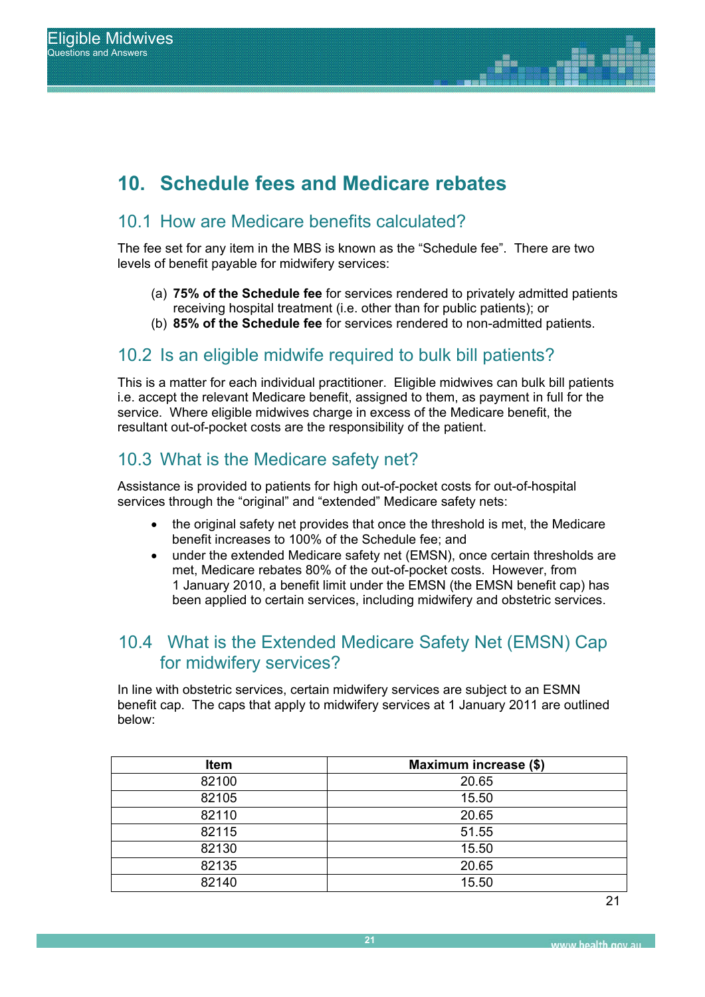# **10. Schedule fees and Medicare rebates**

## 10.1 How are Medicare benefits calculated?

The fee set for any item in the MBS is known as the "Schedule fee". There are two levels of benefit payable for midwifery services:

- (a) **75% of the Schedule fee** for services rendered to privately admitted patients receiving hospital treatment (i.e. other than for public patients); or
- (b) **85% of the Schedule fee** for services rendered to non-admitted patients.

### 10.2 Is an eligible midwife required to bulk bill patients?

This is a matter for each individual practitioner. Eligible midwives can bulk bill patients i.e. accept the relevant Medicare benefit, assigned to them, as payment in full for the service. Where eligible midwives charge in excess of the Medicare benefit, the resultant out-of-pocket costs are the responsibility of the patient.

### 10.3 What is the Medicare safety net?

Assistance is provided to patients for high out-of-pocket costs for out-of-hospital services through the "original" and "extended" Medicare safety nets:

- the original safety net provides that once the threshold is met, the Medicare benefit increases to 100% of the Schedule fee; and
- x under the extended Medicare safety net (EMSN), once certain thresholds are met, Medicare rebates 80% of the out-of-pocket costs. However, from 1 January 2010, a benefit limit under the EMSN (the EMSN benefit cap) has been applied to certain services, including midwifery and obstetric services.

### 10.4 What is the Extended Medicare Safety Net (EMSN) Cap for midwifery services?

In line with obstetric services, certain midwifery services are subject to an ESMN benefit cap. The caps that apply to midwifery services at 1 January 2011 are outlined below:

| <b>Item</b> | Maximum increase (\$) |
|-------------|-----------------------|
| 82100       | 20.65                 |
| 82105       | 15.50                 |
| 82110       | 20.65                 |
| 82115       | 51.55                 |
| 82130       | 15.50                 |
| 82135       | 20.65                 |
| 82140       | 15.50                 |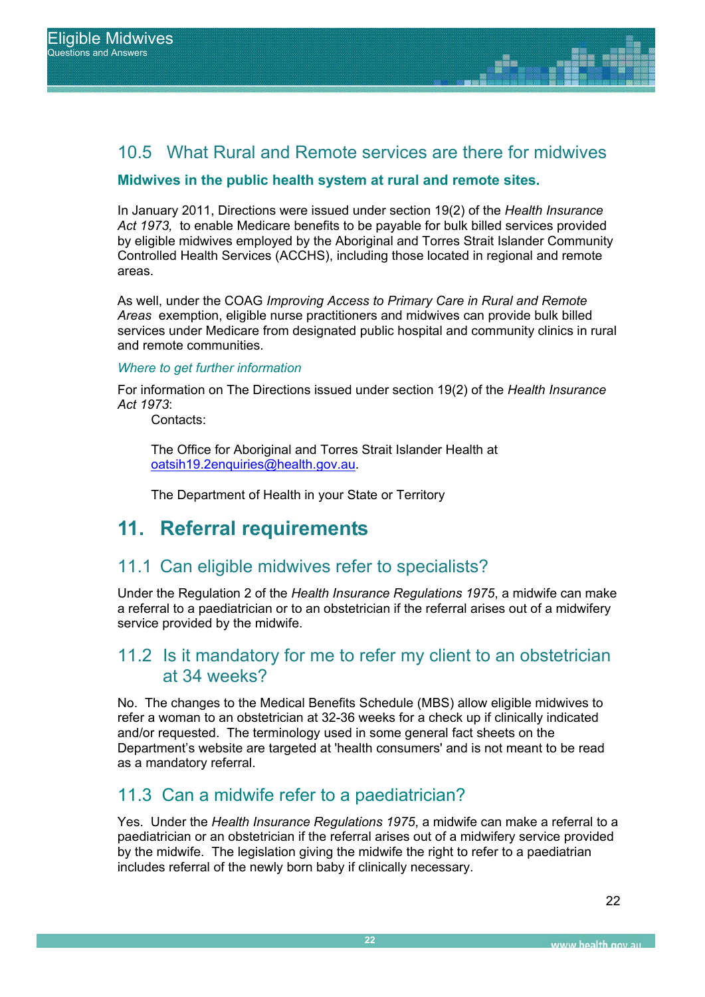### 10.5 What Rural and Remote services are there for midwives

### **Midwives in the public health system at rural and remote sites.**

Report Title In January 2011, Directions were issued under section 19(2) of the *Health Insurance Act 1973,* to enable Medicare benefits to be payable for bulk billed services provided by eligible midwives employed by the Aboriginal and Torres Strait Islander Community Controlled Health Services (ACCHS), including those located in regional and remote areas.

> As well, under the COAG *Improving Access to Primary Care in Rural and Remote Areas* exemption, eligible nurse practitioners and midwives can provide bulk billed services under Medicare from designated public hospital and community clinics in rural and remote communities.

### *Where to get further information*

For information on The Directions issued under section 19(2) of the *Health Insurance Act 1973*:

Contacts:

The Office for Aboriginal and Torres Strait Islander Health at oatsih19.2enquiries@health.gov.au.

The Department of Health in your State or Territory

## **11. Referral requirements**

### 11.1 Can eligible midwives refer to specialists?

Under the Regulation 2 of the *Health Insurance Regulations 1975*, a midwife can make a referral to a paediatrician or to an obstetrician if the referral arises out of a midwifery service provided by the midwife.

### 11.2 Is it mandatory for me to refer my client to an obstetrician at 34 weeks?

No. The changes to the Medical Benefits Schedule (MBS) allow eligible midwives to refer a woman to an obstetrician at 32-36 weeks for a check up if clinically indicated and/or requested. The terminology used in some general fact sheets on the Department's website are targeted at 'health consumers' and is not meant to be read as a mandatory referral.

### 11.3 Can a midwife refer to a paediatrician?

Yes. Under the *Health Insurance Regulations 1975*, a midwife can make a referral to a paediatrician or an obstetrician if the referral arises out of a midwifery service provided by the midwife. The legislation giving the midwife the right to refer to a paediatrian includes referral of the newly born baby if clinically necessary.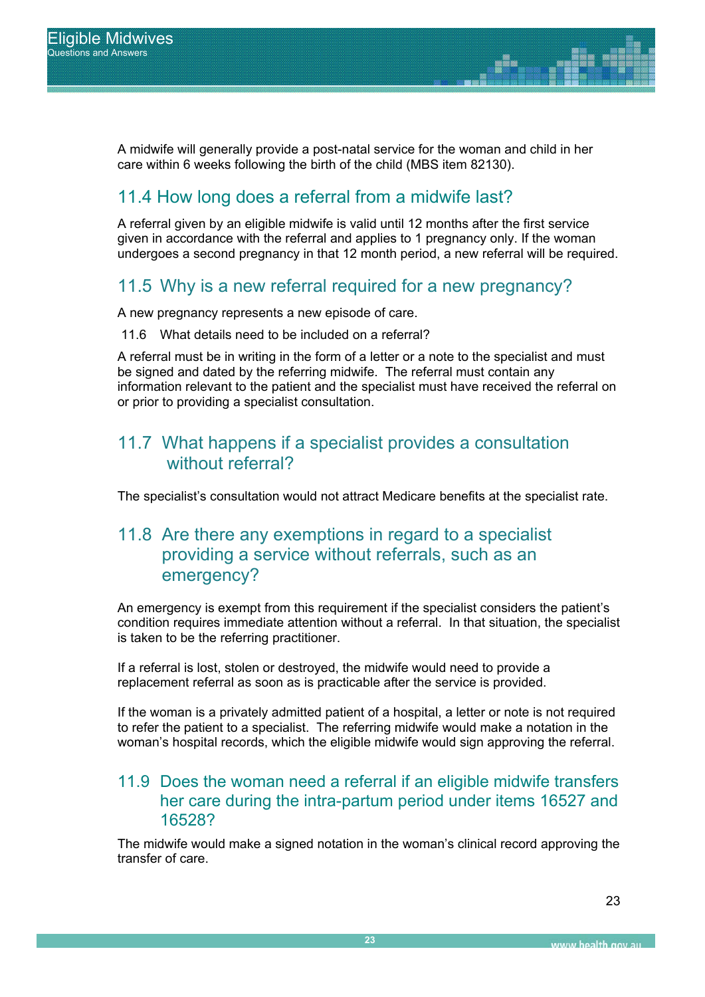A midwife will generally provide a post-natal service for the woman and child in her care within 6 weeks following the birth of the child (MBS item 82130).

## 11.4 How long does a referral from a midwife last?

A referral given by an eligible midwife is valid until 12 months after the first service given in accordance with the referral and applies to 1 pregnancy only. If the woman undergoes a second pregnancy in that 12 month period, a new referral will be required.

### 11.5 Why is a new referral required for a new pregnancy?

A new pregnancy represents a new episode of care.

11.6 What details need to be included on a referral?

A referral must be in writing in the form of a letter or a note to the specialist and must be signed and dated by the referring midwife. The referral must contain any information relevant to the patient and the specialist must have received the referral on or prior to providing a specialist consultation.

### 11.7 What happens if a specialist provides a consultation without referral?

The specialist's consultation would not attract Medicare benefits at the specialist rate.

### 11.8 Are there any exemptions in regard to a specialist providing a service without referrals, such as an emergency?

An emergency is exempt from this requirement if the specialist considers the patient's condition requires immediate attention without a referral. In that situation, the specialist is taken to be the referring practitioner.

If a referral is lost, stolen or destroyed, the midwife would need to provide a replacement referral as soon as is practicable after the service is provided.

If the woman is a privately admitted patient of a hospital, a letter or note is not required to refer the patient to a specialist. The referring midwife would make a notation in the woman's hospital records, which the eligible midwife would sign approving the referral.

### 11.9 Does the woman need a referral if an eligible midwife transfers her care during the intra-partum period under items 16527 and 16528?

The midwife would make a signed notation in the woman's clinical record approving the transfer of care.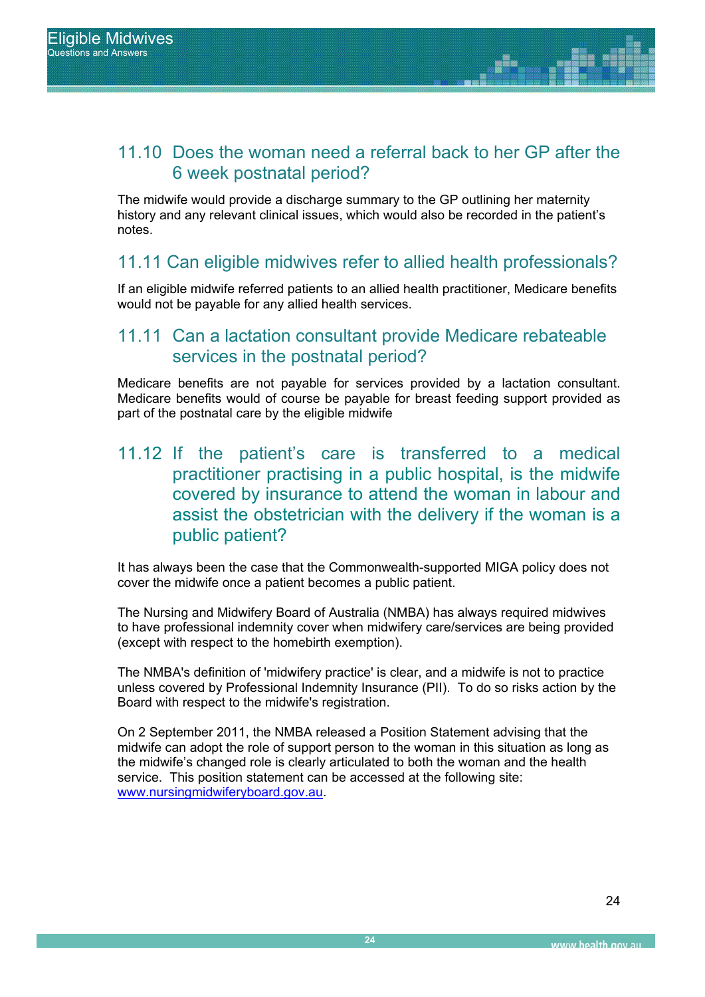### 11.10 Does the woman need a referral back to her GP after the 6 week postnatal period?

The midwife would provide a discharge summary to the GP outlining her maternity history and any relevant clinical issues, which would also be recorded in the patient's notes.

### 11.11 Can eligible midwives refer to allied health professionals?

If an eligible midwife referred patients to an allied health practitioner, Medicare benefits would not be payable for any allied health services.

### 11.11 Can a lactation consultant provide Medicare rebateable services in the postnatal period?

Medicare benefits are not payable for services provided by a lactation consultant. Medicare benefits would of course be payable for breast feeding support provided as part of the postnatal care by the eligible midwife

### 11.12 If the patient's care is transferred to a medical practitioner practising in a public hospital, is the midwife covered by insurance to attend the woman in labour and assist the obstetrician with the delivery if the woman is a public patient?

It has always been the case that the Commonwealth-supported MIGA policy does not cover the midwife once a patient becomes a public patient.

The Nursing and Midwifery Board of Australia (NMBA) has always required midwives to have professional indemnity cover when midwifery care/services are being provided (except with respect to the homebirth exemption).

The NMBA's definition of 'midwifery practice' is clear, and a midwife is not to practice unless covered by Professional Indemnity Insurance (PII). To do so risks action by the Board with respect to the midwife's registration.

On 2 September 2011, the NMBA released a Position Statement advising that the midwife can adopt the role of support person to the woman in this situation as long as the midwife's changed role is clearly articulated to both the woman and the health service. This position statement can be accessed at the following site: www.nursingmidwiferyboard.gov.au.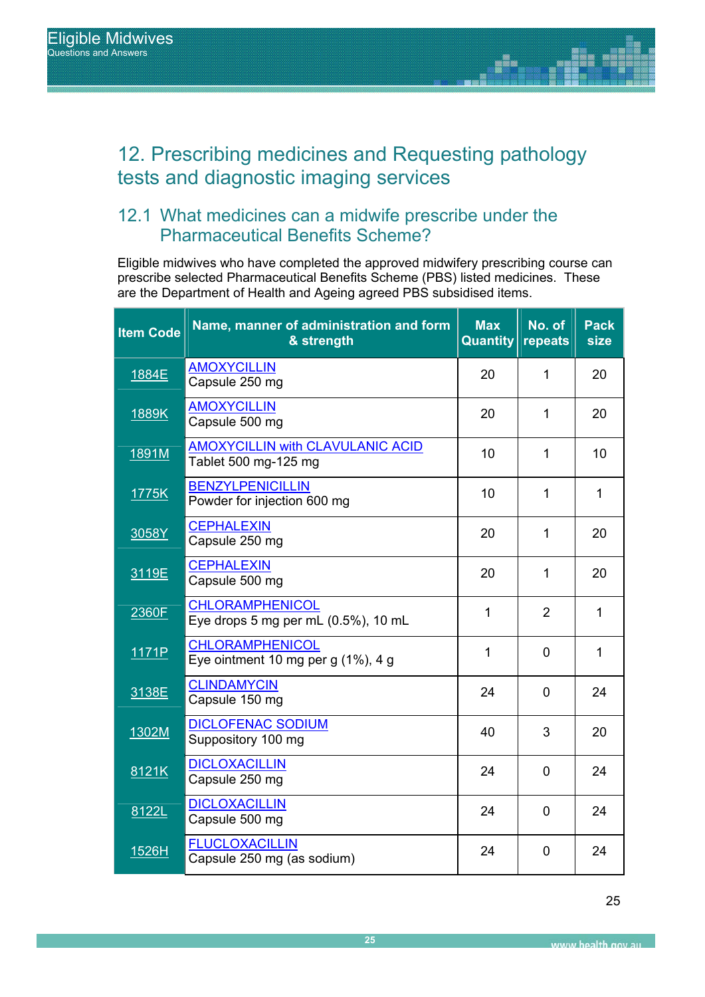## 12. Prescribing medicines and Requesting pathology tests and diagnostic imaging services

### 12.1 What medicines can a midwife prescribe under the Pharmaceutical Benefits Scheme?

Eligible midwives who have completed the approved midwifery prescribing course can prescribe selected Pharmaceutical Benefits Scheme (PBS) listed medicines. These are the Department of Health and Ageing agreed PBS subsidised items.

| <b>Item Code</b> | Name, manner of administration and form<br>& strength           | <b>Max</b><br><b>Quantity</b> | No. of<br>repeats | <b>Pack</b><br><b>size</b> |
|------------------|-----------------------------------------------------------------|-------------------------------|-------------------|----------------------------|
| 1884E            | <b>AMOXYCILLIN</b><br>Capsule 250 mg                            | 20                            | 1                 | 20                         |
| 1889K            | <b>AMOXYCILLIN</b><br>Capsule 500 mg                            | 20                            | 1                 | 20                         |
| 1891M            | <b>AMOXYCILLIN with CLAVULANIC ACID</b><br>Tablet 500 mg-125 mg | 10                            | 1                 | 10                         |
| 1775K            | <b>BENZYLPENICILLIN</b><br>Powder for injection 600 mg          | 10                            | 1                 | $\mathbf{1}$               |
| 3058Y            | <b>CEPHALEXIN</b><br>Capsule 250 mg                             | 20                            | 1                 | 20                         |
| 3119E            | <b>CEPHALEXIN</b><br>Capsule 500 mg                             | 20                            | $\mathbf{1}$      | 20                         |
| 2360F            | <b>CHLORAMPHENICOL</b><br>Eye drops 5 mg per mL (0.5%), 10 mL   | 1                             | $\overline{2}$    | 1                          |
| 1171P            | <b>CHLORAMPHENICOL</b><br>Eye ointment 10 mg per g (1%), 4 g    | 1                             | $\mathbf{0}$      | 1                          |
| 3138E            | <b>CLINDAMYCIN</b><br>Capsule 150 mg                            | 24                            | $\overline{0}$    | 24                         |
| 1302M            | <b>DICLOFENAC SODIUM</b><br>Suppository 100 mg                  | 40                            | 3                 | 20                         |
| 8121K            | <b>DICLOXACILLIN</b><br>Capsule 250 mg                          | 24                            | $\overline{0}$    | 24                         |
| 8122L            | <b>DICLOXACILLIN</b><br>Capsule 500 mg                          | 24                            | $\overline{0}$    | 24                         |
| 1526H            | <b>FLUCLOXACILLIN</b><br>Capsule 250 mg (as sodium)             | 24                            | $\overline{0}$    | 24                         |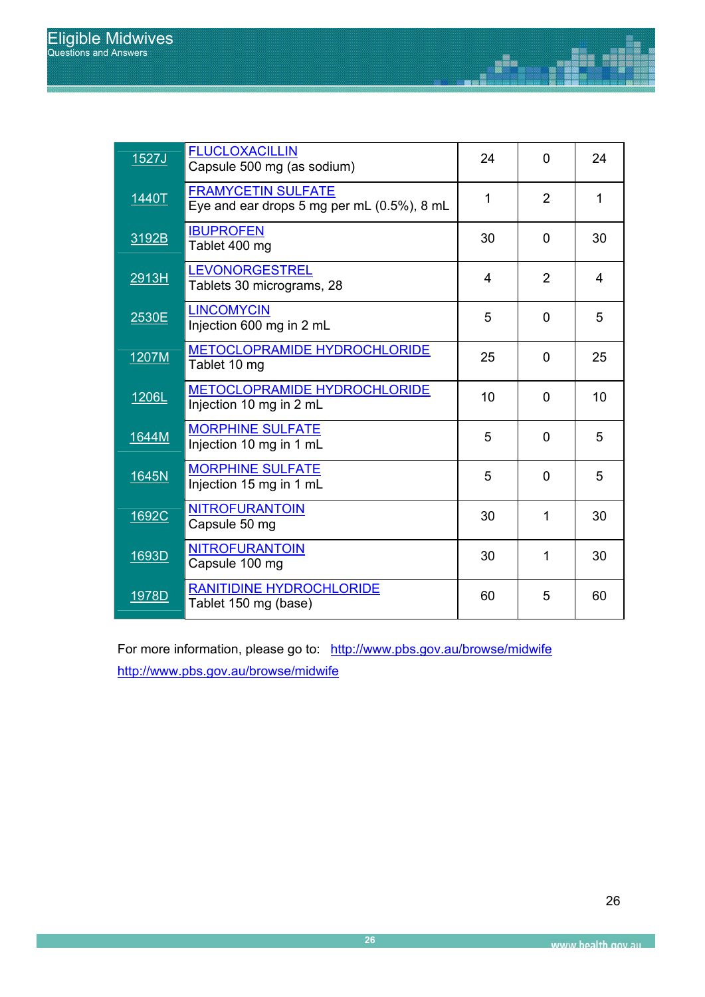| 1527J | <b>FLUCLOXACILLIN</b><br>Capsule 500 mg (as sodium)                     | 24           | $\overline{0}$ | 24              |
|-------|-------------------------------------------------------------------------|--------------|----------------|-----------------|
| 1440T | <b>FRAMYCETIN SULFATE</b><br>Eye and ear drops 5 mg per mL (0.5%), 8 mL | $\mathbf{1}$ | $\overline{2}$ | 1               |
| 3192B | <b>IBUPROFEN</b><br>Tablet 400 mg                                       | 30           | $\mathbf 0$    | 30              |
| 2913H | <b>LEVONORGESTREL</b><br>Tablets 30 micrograms, 28                      | 4            | $\overline{2}$ | $\overline{4}$  |
| 2530E | <b>LINCOMYCIN</b><br>Injection 600 mg in 2 mL                           | 5            | $\Omega$       | 5               |
| 1207M | <b>METOCLOPRAMIDE HYDROCHLORIDE</b><br>Tablet 10 mg                     | 25           | $\mathbf{0}$   | 25              |
| 1206L | METOCLOPRAMIDE HYDROCHLORIDE<br>Injection 10 mg in 2 mL                 | 10           | $\Omega$       | 10 <sup>1</sup> |
| 1644M | <b>MORPHINE SULFATE</b><br>Injection 10 mg in 1 mL                      | 5            | $\mathbf 0$    | 5               |
| 1645N | <b>MORPHINE SULFATE</b><br>Injection 15 mg in 1 mL                      | 5            | $\overline{0}$ | 5               |
| 1692C | <b>NITROFURANTOIN</b><br>Capsule 50 mg                                  | 30           | 1              | 30              |
| 1693D | <b>NITROFURANTOIN</b><br>Capsule 100 mg                                 | 30           | 1              | 30              |
| 1978D | <b>RANITIDINE HYDROCHLORIDE</b><br>Tablet 150 mg (base)                 | 60           | 5              | 60              |

Ŧ

For more information, please go to: http://www.pbs.gov.au/browse/midwife http://www.pbs.gov.au/browse/midwife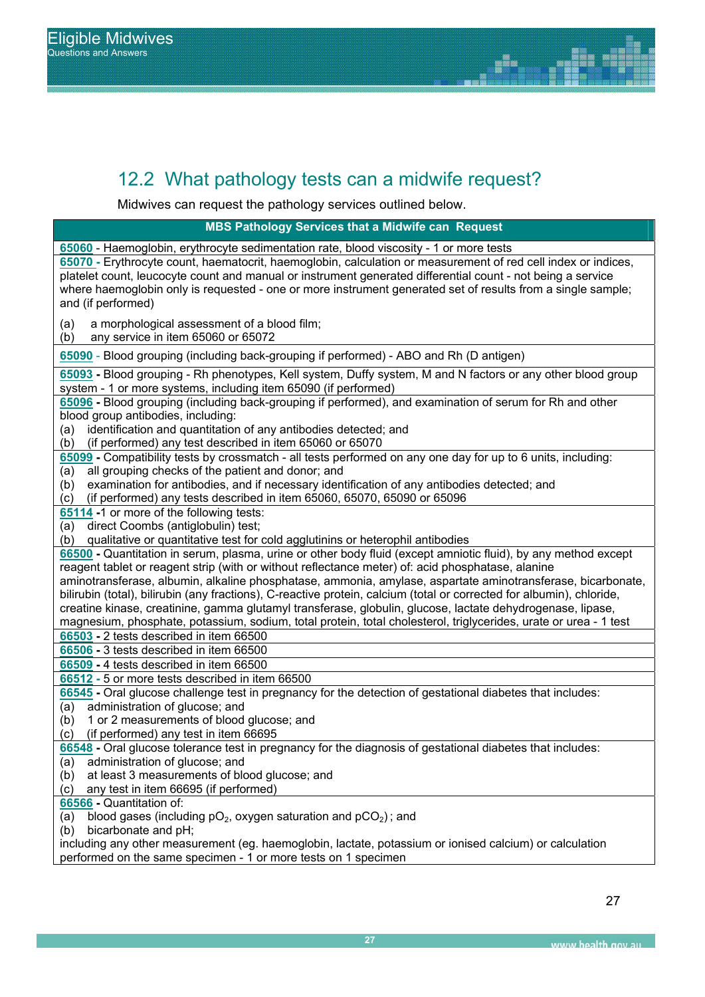## 12.2 What pathology tests can a midwife request?

e a Mi REPORT SUB TITLE Midwives can request the pathology services outlined below.

**MBS Pathology Services that a Midwife can Request**

**65060** - Haemoglobin, erythrocyte sedimentation rate, blood viscosity - 1 or more tests **65070 -** Erythrocyte count, haematocrit, haemoglobin, calculation or measurement of red cell index or indices, platelet count, leucocyte count and manual or instrument generated differential count - not being a service where haemoglobin only is requested - one or more instrument generated set of results from a single sample; and (if performed) (a) a morphological assessment of a blood film; (b) any service in item 65060 or 65072 **65090** - Blood grouping (including back-grouping if performed) - ABO and Rh (D antigen) **65093 -** Blood grouping - Rh phenotypes, Kell system, Duffy system, M and N factors or any other blood group system - 1 or more systems, including item 65090 (if performed) **65096 -** Blood grouping (including back-grouping if performed), and examination of serum for Rh and other blood group antibodies, including: (a) identification and quantitation of any antibodies detected; and (b) (if performed) any test described in item 65060 or 65070 **65099 -** Compatibility tests by crossmatch - all tests performed on any one day for up to 6 units, including: (a) all grouping checks of the patient and donor; and (b) examination for antibodies, and if necessary identification of any antibodies detected; and (c) (if performed) any tests described in item 65060, 65070, 65090 or 65096 **65114 -**1 or more of the following tests: (a) direct Coombs (antiglobulin) test; (b) qualitative or quantitative test for cold agglutinins or heterophil antibodies **66500 -** Quantitation in serum, plasma, urine or other body fluid (except amniotic fluid), by any method except reagent tablet or reagent strip (with or without reflectance meter) of: acid phosphatase, alanine aminotransferase, albumin, alkaline phosphatase, ammonia, amylase, aspartate aminotransferase, bicarbonate, bilirubin (total), bilirubin (any fractions), C-reactive protein, calcium (total or corrected for albumin), chloride, creatine kinase, creatinine, gamma glutamyl transferase, globulin, glucose, lactate dehydrogenase, lipase, magnesium, phosphate, potassium, sodium, total protein, total cholesterol, triglycerides, urate or urea - 1 test **66503 -** 2 tests described in item 66500 **66506 -** 3 tests described in item 66500 **66509 -** 4 tests described in item 66500 **66512 -** 5 or more tests described in item 66500 **66545 -** Oral glucose challenge test in pregnancy for the detection of gestational diabetes that includes: (a) administration of glucose; and (b) 1 or 2 measurements of blood glucose; and (c) (if performed) any test in item 66695 **66548 -** Oral glucose tolerance test in pregnancy for the diagnosis of gestational diabetes that includes: (a) administration of glucose; and (b) at least 3 measurements of blood glucose; and (c) any test in item 66695 (if performed) **66566 -** Quantitation of: (a) blood gases (including  $pO_2$ , oxygen saturation and  $pCO_2$ ); and (b) bicarbonate and pH;

including any other measurement (eg. haemoglobin, lactate, potassium or ionised calcium) or calculation performed on the same specimen - 1 or more tests on 1 specimen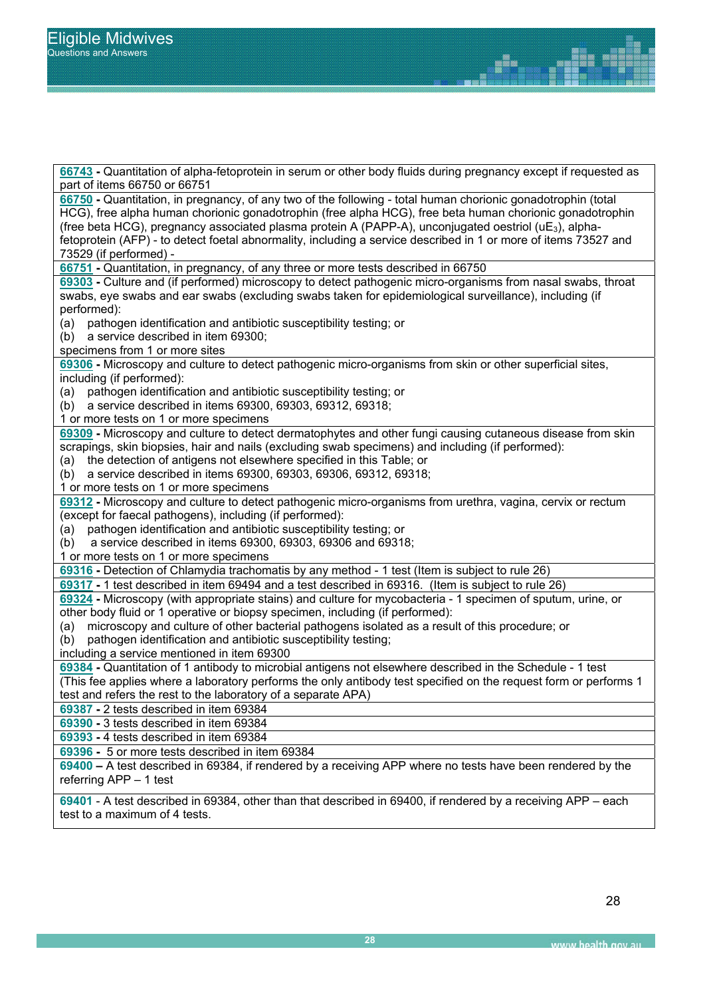| 66743 - Quantitation of alpha-fetoprotein in serum or other body fluids during pregnancy except if requested as                                                                              |
|----------------------------------------------------------------------------------------------------------------------------------------------------------------------------------------------|
| part of items 66750 or 66751                                                                                                                                                                 |
| 66750 - Quantitation, in pregnancy, of any two of the following - total human chorionic gonadotrophin (total                                                                                 |
| HCG), free alpha human chorionic gonadotrophin (free alpha HCG), free beta human chorionic gonadotrophin                                                                                     |
| (free beta HCG), pregnancy associated plasma protein A (PAPP-A), unconjugated oestriol ( $\mu$ E <sub>3</sub> ), alpha-                                                                      |
| fetoprotein (AFP) - to detect foetal abnormality, including a service described in 1 or more of items 73527 and                                                                              |
| 73529 (if performed) -                                                                                                                                                                       |
| 66751 - Quantitation, in pregnancy, of any three or more tests described in 66750                                                                                                            |
| 69303 - Culture and (if performed) microscopy to detect pathogenic micro-organisms from nasal swabs, throat                                                                                  |
| swabs, eye swabs and ear swabs (excluding swabs taken for epidemiological surveillance), including (if                                                                                       |
| performed):                                                                                                                                                                                  |
| pathogen identification and antibiotic susceptibility testing; or<br>(a)                                                                                                                     |
| a service described in item 69300;<br>(b)                                                                                                                                                    |
| specimens from 1 or more sites                                                                                                                                                               |
| 69306 - Microscopy and culture to detect pathogenic micro-organisms from skin or other superficial sites,                                                                                    |
| including (if performed):                                                                                                                                                                    |
| pathogen identification and antibiotic susceptibility testing; or<br>(a)                                                                                                                     |
| a service described in items 69300, 69303, 69312, 69318;<br>(b)                                                                                                                              |
| 1 or more tests on 1 or more specimens                                                                                                                                                       |
| 69309 - Microscopy and culture to detect dermatophytes and other fungi causing cutaneous disease from skin                                                                                   |
| scrapings, skin biopsies, hair and nails (excluding swab specimens) and including (if performed):                                                                                            |
| the detection of antigens not elsewhere specified in this Table; or<br>(a)                                                                                                                   |
| (b) a service described in items 69300, 69303, 69306, 69312, 69318;                                                                                                                          |
| 1 or more tests on 1 or more specimens                                                                                                                                                       |
| 69312 - Microscopy and culture to detect pathogenic micro-organisms from urethra, vagina, cervix or rectum                                                                                   |
| (except for faecal pathogens), including (if performed):                                                                                                                                     |
| pathogen identification and antibiotic susceptibility testing; or<br>(a)                                                                                                                     |
| a service described in items 69300, 69303, 69306 and 69318;<br>(b)                                                                                                                           |
| 1 or more tests on 1 or more specimens                                                                                                                                                       |
| 69316 - Detection of Chlamydia trachomatis by any method - 1 test (Item is subject to rule 26)                                                                                               |
| 69317 - 1 test described in item 69494 and a test described in 69316. (Item is subject to rule 26)                                                                                           |
|                                                                                                                                                                                              |
| 69324 - Microscopy (with appropriate stains) and culture for mycobacteria - 1 specimen of sputum, urine, or<br>other body fluid or 1 operative or biopsy specimen, including (if performed): |
|                                                                                                                                                                                              |
| microscopy and culture of other bacterial pathogens isolated as a result of this procedure; or<br>(a)                                                                                        |
| pathogen identification and antibiotic susceptibility testing;<br>(b)                                                                                                                        |
| including a service mentioned in item 69300                                                                                                                                                  |
| 69384 - Quantitation of 1 antibody to microbial antigens not elsewhere described in the Schedule - 1 test                                                                                    |
| (This fee applies where a laboratory performs the only antibody test specified on the request form or performs 1                                                                             |
| test and refers the rest to the laboratory of a separate APA)                                                                                                                                |
| 69387 - 2 tests described in item 69384                                                                                                                                                      |
| 69390 - 3 tests described in item 69384                                                                                                                                                      |
| 69393 - 4 tests described in item 69384                                                                                                                                                      |
| 69396 - 5 or more tests described in item 69384                                                                                                                                              |
| 69400 - A test described in 69384, if rendered by a receiving APP where no tests have been rendered by the                                                                                   |
| referring APP - 1 test                                                                                                                                                                       |
| cases a test described in 60384, other than that described in 60400 if rendered by a resoluting ADD                                                                                          |
|                                                                                                                                                                                              |

ise<br>N

**69401** - A test described in 69384, other than that described in 69400, if rendered by a receiving APP – each test to a maximum of 4 tests.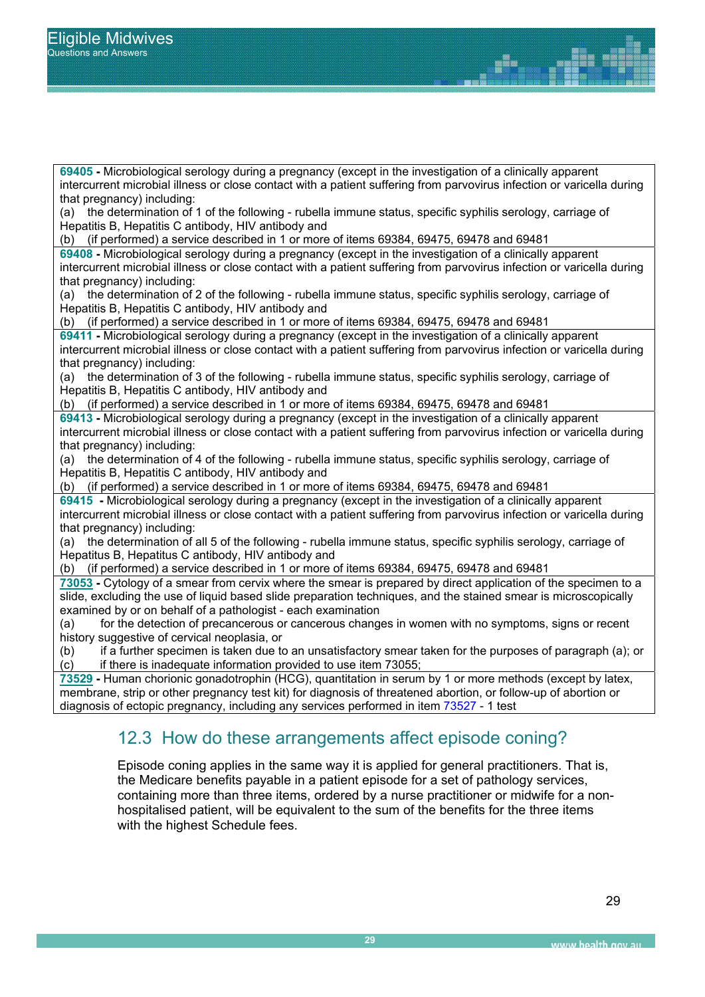$\vert$  that pregnancy) including:  $\vert$  (a) the determination of 1 of the following - rubella immune status, specific syphilis serology, carriage of **69405 -** Microbiological serology during a pregnancy (except in the investigation of a clinically apparent intercurrent microbial illness or close contact with a patient suffering from parvovirus infection or varicella during Hepatitis B, Hepatitis C antibody, HIV antibody and

(b) (if performed) a service described in 1 or more of items 69384, 69475, 69478 and 69481

**69408 -** Microbiological serology during a pregnancy (except in the investigation of a clinically apparent intercurrent microbial illness or close contact with a patient suffering from parvovirus infection or varicella during that pregnancy) including:

(a) the determination of 2 of the following - rubella immune status, specific syphilis serology, carriage of Hepatitis B, Hepatitis C antibody, HIV antibody and

(b) (if performed) a service described in 1 or more of items 69384, 69475, 69478 and 69481

**69411 -** Microbiological serology during a pregnancy (except in the investigation of a clinically apparent intercurrent microbial illness or close contact with a patient suffering from parvovirus infection or varicella during that pregnancy) including:

(a) the determination of 3 of the following - rubella immune status, specific syphilis serology, carriage of Hepatitis B, Hepatitis C antibody, HIV antibody and

(b) (if performed) a service described in 1 or more of items 69384, 69475, 69478 and 69481

**69413 -** Microbiological serology during a pregnancy (except in the investigation of a clinically apparent intercurrent microbial illness or close contact with a patient suffering from parvovirus infection or varicella during

that pregnancy) including:<br>(a) the determination of  $\theta$ the determination of 4 of the following - rubella immune status, specific syphilis serology, carriage of Hepatitis B, Hepatitis C antibody, HIV antibody and

(b) (if performed) a service described in 1 or more of items 69384, 69475, 69478 and 69481

**69415 -** Microbiological serology during a pregnancy (except in the investigation of a clinically apparent intercurrent microbial illness or close contact with a patient suffering from parvovirus infection or varicella during that pregnancy) including:

(a) the determination of all 5 of the following - rubella immune status, specific syphilis serology, carriage of Hepatitus B, Hepatitus C antibody, HIV antibody and

(b) (if performed) a service described in 1 or more of items 69384, 69475, 69478 and 69481

**73053 -** Cytology of a smear from cervix where the smear is prepared by direct application of the specimen to a slide, excluding the use of liquid based slide preparation techniques, and the stained smear is microscopically examined by or on behalf of a pathologist - each examination

(a) for the detection of precancerous or cancerous changes in women with no symptoms, signs or recent history suggestive of cervical neoplasia, or

(b) if a further specimen is taken due to an unsatisfactory smear taken for the purposes of paragraph (a); or (c) if there is inadequate information provided to use item 73055;

**73529 -** Human chorionic gonadotrophin (HCG), quantitation in serum by 1 or more methods (except by latex, membrane, strip or other pregnancy test kit) for diagnosis of threatened abortion, or follow-up of abortion or diagnosis of ectopic pregnancy, including any services performed in item 73527 - 1 test

### 12.3 How do these arrangements affect episode coning?

Episode coning applies in the same way it is applied for general practitioners. That is, the Medicare benefits payable in a patient episode for a set of pathology services, containing more than three items, ordered by a nurse practitioner or midwife for a nonhospitalised patient, will be equivalent to the sum of the benefits for the three items with the highest Schedule fees.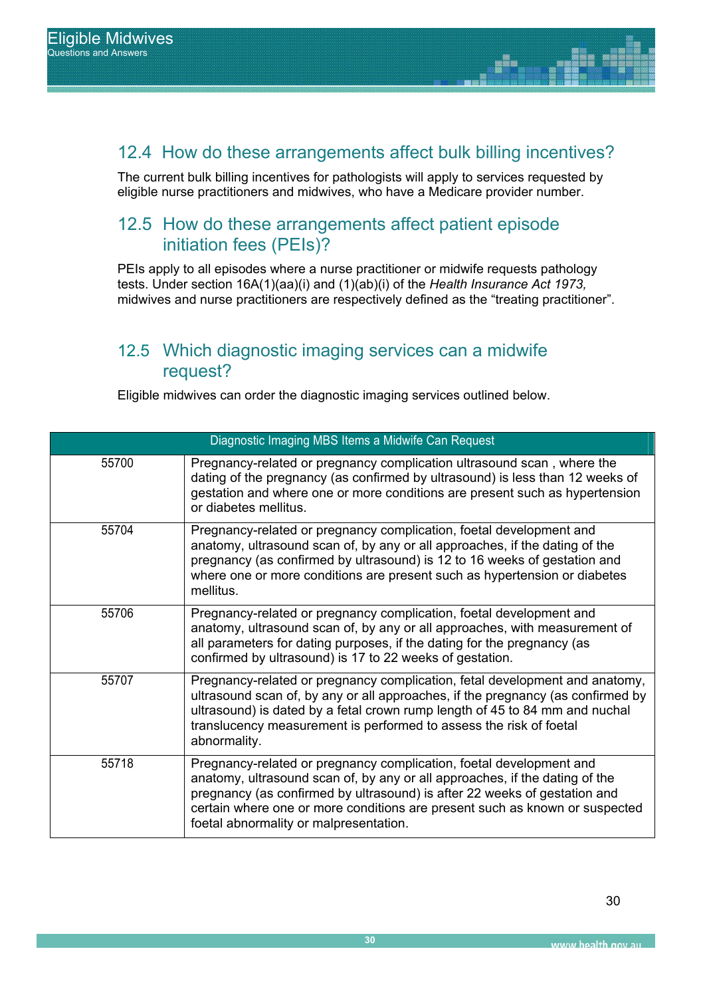### 12.4 How do these arrangements affect bulk billing incentives?

en<sub>d</sub> The current bulk billing incentives for pathologists will apply to services requested by eligible nurse practitioners and midwives, who have a Medicare provider number.

### REPORT SUB TITLE 12.5 How do these arrangements affect patient episode initiation fees (PEIs)?

PEIs apply to all episodes where a nurse practitioner or midwife requests pathology tests. Under section 16A(1)(aa)(i) and (1)(ab)(i) of the *Health Insurance Act 1973,* midwives and nurse practitioners are respectively defined as the "treating practitioner".

### 12.5 Which diagnostic imaging services can a midwife request?

Eligible midwives can order the diagnostic imaging services outlined below.

| Diagnostic Imaging MBS Items a Midwife Can Request |                                                                                                                                                                                                                                                                                                                                                          |  |
|----------------------------------------------------|----------------------------------------------------------------------------------------------------------------------------------------------------------------------------------------------------------------------------------------------------------------------------------------------------------------------------------------------------------|--|
| 55700                                              | Pregnancy-related or pregnancy complication ultrasound scan, where the<br>dating of the pregnancy (as confirmed by ultrasound) is less than 12 weeks of<br>gestation and where one or more conditions are present such as hypertension<br>or diabetes mellitus.                                                                                          |  |
| 55704                                              | Pregnancy-related or pregnancy complication, foetal development and<br>anatomy, ultrasound scan of, by any or all approaches, if the dating of the<br>pregnancy (as confirmed by ultrasound) is 12 to 16 weeks of gestation and<br>where one or more conditions are present such as hypertension or diabetes<br>mellitus.                                |  |
| 55706                                              | Pregnancy-related or pregnancy complication, foetal development and<br>anatomy, ultrasound scan of, by any or all approaches, with measurement of<br>all parameters for dating purposes, if the dating for the pregnancy (as<br>confirmed by ultrasound) is 17 to 22 weeks of gestation.                                                                 |  |
| 55707                                              | Pregnancy-related or pregnancy complication, fetal development and anatomy,<br>ultrasound scan of, by any or all approaches, if the pregnancy (as confirmed by<br>ultrasound) is dated by a fetal crown rump length of 45 to 84 mm and nuchal<br>translucency measurement is performed to assess the risk of foetal<br>abnormality.                      |  |
| 55718                                              | Pregnancy-related or pregnancy complication, foetal development and<br>anatomy, ultrasound scan of, by any or all approaches, if the dating of the<br>pregnancy (as confirmed by ultrasound) is after 22 weeks of gestation and<br>certain where one or more conditions are present such as known or suspected<br>foetal abnormality or malpresentation. |  |